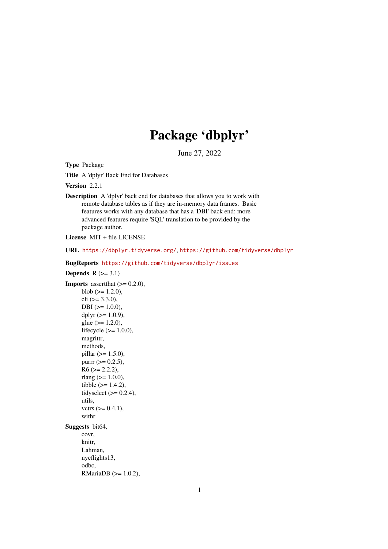# Package 'dbplyr'

June 27, 2022

<span id="page-0-0"></span>Type Package

Title A 'dplyr' Back End for Databases

Version 2.2.1

Description A 'dplyr' back end for databases that allows you to work with remote database tables as if they are in-memory data frames. Basic features works with any database that has a 'DBI' back end; more advanced features require 'SQL' translation to be provided by the package author.

License MIT + file LICENSE

URL <https://dbplyr.tidyverse.org/>, <https://github.com/tidyverse/dbplyr>

BugReports <https://github.com/tidyverse/dbplyr/issues>

Depends  $R$  ( $>= 3.1$ ) **Imports** assert that  $(>= 0.2.0)$ , blob  $(>= 1.2.0)$ ,  $\text{cli } (> = 3.3.0),$  $DBI$  ( $>= 1.0.0$ ), dplyr  $(>= 1.0.9)$ ,  $glue (> = 1.2.0),$ lifecycle (>= 1.0.0), magrittr, methods,  $pillar$  ( $>= 1.5.0$ ), purrr  $(>= 0.2.5)$ ,  $R6$  ( $>= 2.2.2$ ), rlang  $(>= 1.0.0)$ , tibble  $(>= 1.4.2)$ , tidyselect  $(>= 0.2.4)$ , utils, vctrs  $(>= 0.4.1)$ , withr Suggests bit64, covr, knitr, Lahman, nycflights13, odbc, RMariaDB (>= 1.0.2),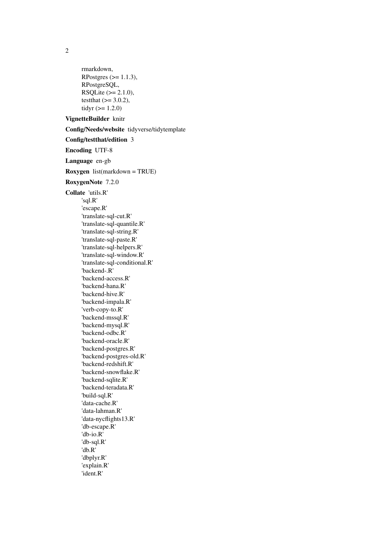rmarkdown, RPostgres  $(>= 1.1.3)$ , RPostgreSQL, RSQLite  $(>= 2.1.0)$ , testthat  $(>= 3.0.2)$ , tidyr  $(>= 1.2.0)$ 

## VignetteBuilder knitr

Config/Needs/website tidyverse/tidytemplate

Config/testthat/edition 3

Encoding UTF-8

Language en-gb

Roxygen list(markdown = TRUE)

RoxygenNote 7.2.0

Collate 'utils.R' 'sql.R' 'escape.R' 'translate-sql-cut.R' 'translate-sql-quantile.R' 'translate-sql-string.R' 'translate-sql-paste.R' 'translate-sql-helpers.R' 'translate-sql-window.R' 'translate-sql-conditional.R' 'backend-.R' 'backend-access.R' 'backend-hana.R' 'backend-hive.R' 'backend-impala.R' 'verb-copy-to.R' 'backend-mssql.R' 'backend-mysql.R' 'backend-odbc.R' 'backend-oracle.R' 'backend-postgres.R' 'backend-postgres-old.R' 'backend-redshift.R' 'backend-snowflake.R' 'backend-sqlite.R' 'backend-teradata.R' 'build-sql.R' 'data-cache.R' 'data-lahman.R' 'data-nycflights13.R' 'db-escape.R' 'db-io.R' 'db-sql.R' 'db.R' 'dbplyr.R' 'explain.R' 'ident.R'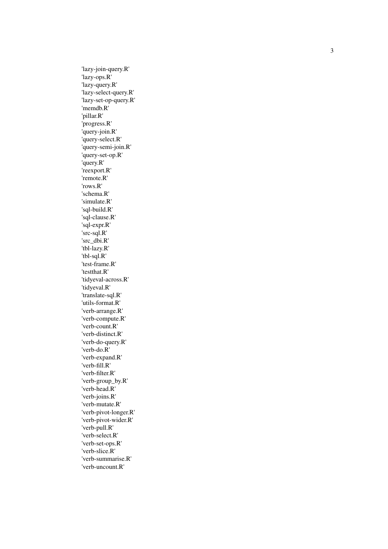'lazy-join-query.R' 'lazy-ops.R' 'lazy-query.R' 'lazy-select-query.R' 'lazy-set-op-query.R' 'memdb.R' 'pillar.R' 'progress.R' 'query-join.R' 'query-select.R' 'query-semi-join.R' 'query-set-op.R' 'query.R' 'reexport.R' 'remote.R' 'rows.R' 'schema.R' 'simulate.R' 'sql-build.R' 'sql-clause.R' 'sql-expr.R' 'src-sql.R' 'src\_dbi.R' 'tbl-lazy.R' 'tbl-sql.R' 'test-frame.R' 'testthat.R' 'tidyeval-across.R' 'tidyeval.R' 'translate-sql.R' 'utils-format.R' 'verb-arrange.R' 'verb-compute.R' 'verb-count.R' 'verb-distinct.R' 'verb-do-query.R' 'verb-do.R' 'verb-expand.R' 'verb-fill.R' 'verb-filter.R' 'verb-group\_by.R' 'verb-head.R' 'verb-joins.R' 'verb-mutate.R' 'verb-pivot-longer.R' 'verb-pivot-wider.R' 'verb-pull.R' 'verb-select.R' 'verb-set-ops.R' 'verb-slice.R' 'verb-summarise.R' 'verb-uncount.R'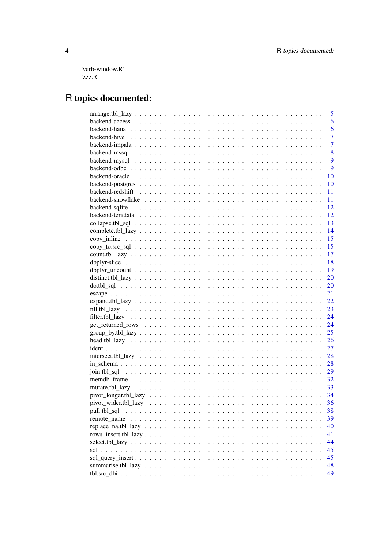'verb-window.R' 'zzz.R'

## R topics documented:

|                                                                                                                                   | 5              |
|-----------------------------------------------------------------------------------------------------------------------------------|----------------|
|                                                                                                                                   | 6              |
|                                                                                                                                   | 6              |
| backend-hive $\ldots \ldots \ldots \ldots \ldots \ldots \ldots \ldots \ldots \ldots \ldots \ldots \ldots$                         | $\overline{7}$ |
|                                                                                                                                   | $\overline{7}$ |
|                                                                                                                                   | 8              |
|                                                                                                                                   | 9              |
|                                                                                                                                   | 9              |
|                                                                                                                                   | - 10           |
|                                                                                                                                   |                |
|                                                                                                                                   |                |
|                                                                                                                                   |                |
|                                                                                                                                   |                |
|                                                                                                                                   |                |
|                                                                                                                                   |                |
|                                                                                                                                   |                |
|                                                                                                                                   |                |
|                                                                                                                                   |                |
|                                                                                                                                   |                |
|                                                                                                                                   |                |
|                                                                                                                                   |                |
|                                                                                                                                   |                |
|                                                                                                                                   |                |
|                                                                                                                                   |                |
|                                                                                                                                   |                |
|                                                                                                                                   |                |
|                                                                                                                                   |                |
|                                                                                                                                   |                |
|                                                                                                                                   |                |
|                                                                                                                                   |                |
|                                                                                                                                   |                |
| $intersect.tbl\_lazy \dots \dots \dots \dots \dots \dots \dots \dots \dots \dots \dots \dots \dots \dots \dots \dots \dots \dots$ |                |
|                                                                                                                                   |                |
|                                                                                                                                   |                |
|                                                                                                                                   |                |
|                                                                                                                                   |                |
|                                                                                                                                   |                |
|                                                                                                                                   | 36             |
|                                                                                                                                   | 38             |
|                                                                                                                                   | 39             |
|                                                                                                                                   | 40             |
|                                                                                                                                   | 41             |
|                                                                                                                                   | 44             |
|                                                                                                                                   | 45             |
|                                                                                                                                   | 45             |
|                                                                                                                                   | 48             |
|                                                                                                                                   | 49             |
|                                                                                                                                   |                |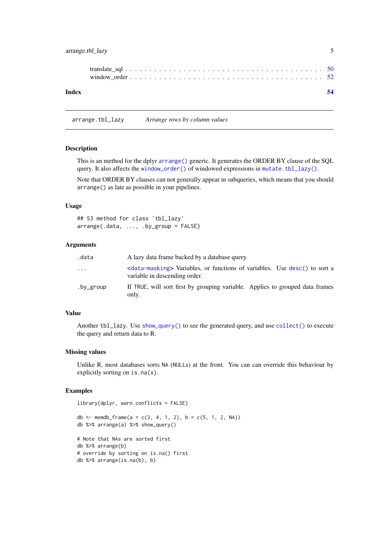<span id="page-4-0"></span>arrange.tbl\_lazy 5

#### **Index** [54](#page-53-0)

<span id="page-4-1"></span>arrange.tbl\_lazy *Arrange rows by column values*

## Description

This is an method for the dplyr [arrange\(\)](#page-0-0) generic. It generates the ORDER BY clause of the SQL query. It also affects the [window\\_order\(\)](#page-51-1) of windowed expressions in [mutate.tbl\\_lazy\(\)](#page-32-1).

Note that ORDER BY clauses can not generally appear in subqueries, which means that you should arrange() as late as possible in your pipelines.

## Usage

## S3 method for class 'tbl\_lazy' arrange(.data, ..., .by\_group = FALSE)

#### Arguments

| .data     | A lazy data frame backed by a database query.                                                                              |
|-----------|----------------------------------------------------------------------------------------------------------------------------|
| $\ddotsc$ | <data-masking> Variables, or functions of variables. Use desc() to sort a<br/>variable in descending order.</data-masking> |
| .by_group | If TRUE, will sort first by grouping variable. Applies to grouped data frames<br>only.                                     |

## Value

Another tbl\_lazy. Use [show\\_query\(\)](#page-0-0) to see the generated query, and use [collect\(\)](#page-12-1) to execute the query and return data to R.

#### Missing values

Unlike R, most databases sorts NA (NULLs) at the front. You can can override this behaviour by explicitly sorting on is.na(x).

```
library(dplyr, warn.conflicts = FALSE)
```

```
db <- memdb_frame(a = c(3, 4, 1, 2), b = c(5, 1, 2, NA))
db %>% arrange(a) %>% show_query()
# Note that NAs are sorted first
db %>% arrange(b)
# override by sorting on is.na() first
db %>% arrange(is.na(b), b)
```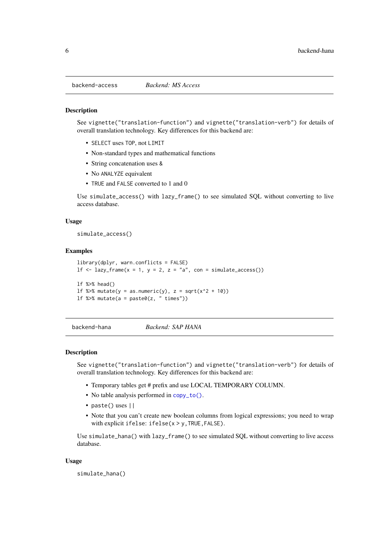<span id="page-5-0"></span>backend-access *Backend: MS Access*

## Description

See vignette("translation-function") and vignette("translation-verb") for details of overall translation technology. Key differences for this backend are:

- SELECT uses TOP, not LIMIT
- Non-standard types and mathematical functions
- String concatenation uses &
- No ANALYZE equivalent
- TRUE and FALSE converted to 1 and 0

Use simulate\_access() with lazy\_frame() to see simulated SQL without converting to live access database.

#### Usage

simulate\_access()

#### Examples

```
library(dplyr, warn.conflicts = FALSE)
lf \le lazy_frame(x = 1, y = 2, z = "a", con = simulate_access())
lf %>% head()
1f %\gg% mutate(y = as.numeric(y), z = sqrt(x^2 + 10))
lf %>% mutate(a = paste0(z, " times"))
```
backend-hana *Backend: SAP HANA*

## Description

See vignette("translation-function") and vignette("translation-verb") for details of overall translation technology. Key differences for this backend are:

- Temporary tables get # prefix and use LOCAL TEMPORARY COLUMN.
- No table analysis performed in [copy\\_to\(\)](#page-0-0).
- paste() uses ||
- Note that you can't create new boolean columns from logical expressions; you need to wrap with explicit ifelse: ifelse(x > y,TRUE,FALSE).

Use simulate\_hana() with lazy\_frame() to see simulated SQL without converting to live access database.

## Usage

simulate\_hana()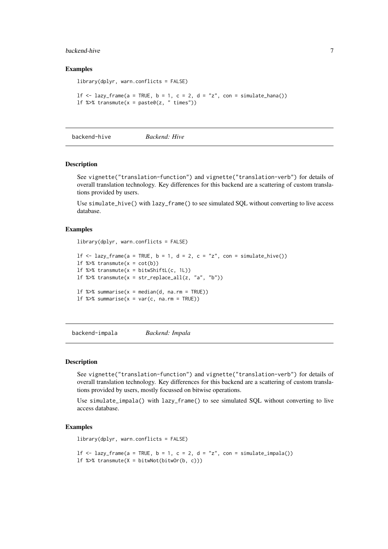#### <span id="page-6-0"></span>backend-hive 7 and 7 and 7 and 7 and 7 and 7 and 7 and 7 and 7 and 7 and 7 and 7 and 7 and 7 and 7 and 7 and 7 and 7 and 7 and 7 and 7 and 7 and 7 and 7 and 7 and 7 and 7 and 7 and 7 and 7 and 7 and 7 and 7 and 7 and 7 and

#### Examples

```
library(dplyr, warn.conflicts = FALSE)
1f \leftarrow \text{lazy-frame}(a = \text{TRUE}, b = 1, c = 2, d = "z", con = simulate\_hana())lf %>% transmute(x = paste0(z, " times"))
```
backend-hive *Backend: Hive*

#### Description

See vignette("translation-function") and vignette("translation-verb") for details of overall translation technology. Key differences for this backend are a scattering of custom translations provided by users.

Use simulate\_hive() with lazy\_frame() to see simulated SQL without converting to live access database.

#### Examples

```
library(dplyr, warn.conflicts = FALSE)
```

```
1f \le lazy_frame(a = TRUE, b = 1, d = 2, c = "z", con = simulate_hive())
If %>% transmute(x = cot(b))
1f %>% transmute(x = bitwShiftL(c, 1L))
lf %\gg transmute(x = str_replace_all(z, "a", "b"))
1f %>% summarise(x = median(d, na.rm = TRUE))
1f %\gg summarise(x = var(c, na.rm = TRUE))
```
backend-impala *Backend: Impala*

#### Description

See vignette("translation-function") and vignette("translation-verb") for details of overall translation technology. Key differences for this backend are a scattering of custom translations provided by users, mostly focussed on bitwise operations.

Use simulate\_impala() with lazy\_frame() to see simulated SQL without converting to live access database.

```
library(dplyr, warn.conflicts = FALSE)
```

```
1f \leftarrow \text{lazy-frame}(a = \text{TRUE}, b = 1, c = 2, d = "z", con = \text{simulate\_impala}()1f %>% transmute(X = bitwNot(bitwOr(b, c)))
```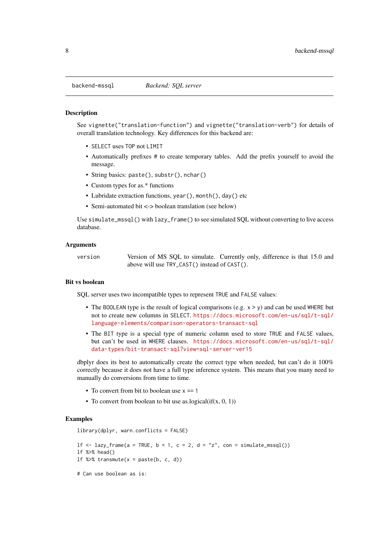#### **Description**

See vignette("translation-function") and vignette("translation-verb") for details of overall translation technology. Key differences for this backend are:

- SELECT uses TOP not LIMIT
- Automatically prefixes # to create temporary tables. Add the prefix yourself to avoid the message.
- String basics: paste(), substr(), nchar()
- Custom types for as.\* functions
- Lubridate extraction functions, year(), month(), day() etc
- Semi-automated bit <-> boolean translation (see below)

Use simulate\_mssql() with lazy\_frame() to see simulated SQL without converting to live access database.

#### Arguments

| version | Version of MS SQL to simulate. Currently only, difference is that 15.0 and |  |  |  |
|---------|----------------------------------------------------------------------------|--|--|--|
|         | above will use TRY_CAST() instead of CAST().                               |  |  |  |

#### Bit vs boolean

SQL server uses two incompatible types to represent TRUE and FALSE values:

- The BOOLEAN type is the result of logical comparisons (e.g.  $x > y$ ) and can be used WHERE but not to create new columns in SELECT. [https://docs.microsoft.com/en-us/sql/t-sql/](https://docs.microsoft.com/en-us/sql/t-sql/language-elements/comparison-operators-transact-sql) [language-elements/comparison-operators-transact-sql](https://docs.microsoft.com/en-us/sql/t-sql/language-elements/comparison-operators-transact-sql)
- The BIT type is a special type of numeric column used to store TRUE and FALSE values, but can't be used in WHERE clauses. [https://docs.microsoft.com/en-us/sql/t-sql/](https://docs.microsoft.com/en-us/sql/t-sql/data-types/bit-transact-sql?view=sql-server-ver15) [data-types/bit-transact-sql?view=sql-server-ver15](https://docs.microsoft.com/en-us/sql/t-sql/data-types/bit-transact-sql?view=sql-server-ver15)

dbplyr does its best to automatically create the correct type when needed, but can't do it 100% correctly because it does not have a full type inference system. This means that you many need to manually do conversions from time to time.

• To convert from bit to boolean use  $x = 1$ 

library(dplyr, warn.conflicts = FALSE)

• To convert from boolean to bit use as.logical $(f(x, 0, 1))$ 

```
1f \leftarrow \text{lazy-frame}(a = \text{TRUE}, b = 1, c = 2, d = "z", con = simulate_mssql())lf %>% head()
If %>% transmute(x = paste(b, c, d))
# Can use boolean as is:
```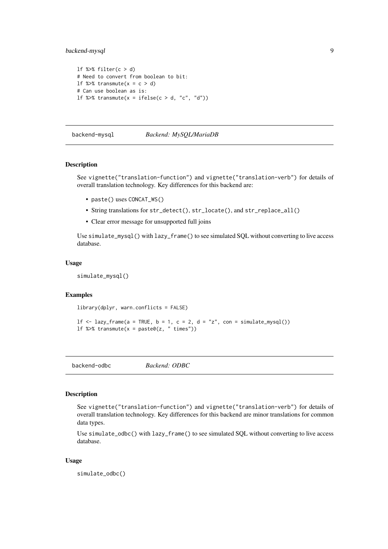#### <span id="page-8-0"></span>backend-mysql 9

```
lf %>% filter(c > d)
# Need to convert from boolean to bit:
1f %>% transmute(x = c > d)
# Can use boolean as is:
1f %>% transmute(x = ifelse(c > d, "c", "d"))
```
#### backend-mysql *Backend: MySQL/MariaDB*

#### Description

See vignette("translation-function") and vignette("translation-verb") for details of overall translation technology. Key differences for this backend are:

- paste() uses CONCAT\_WS()
- String translations for str\_detect(), str\_locate(), and str\_replace\_all()
- Clear error message for unsupported full joins

Use simulate\_mysql() with lazy\_frame() to see simulated SQL without converting to live access database.

## Usage

simulate\_mysql()

## Examples

```
library(dplyr, warn.conflicts = FALSE)
```

```
1f \le lazy_frame(a = TRUE, b = 1, c = 2, d = "z", con = simulate_mysql())
lf %>% transmute(x = paste0(z, " times"))
```
backend-odbc *Backend: ODBC*

#### Description

See vignette("translation-function") and vignette("translation-verb") for details of overall translation technology. Key differences for this backend are minor translations for common data types.

Use simulate\_odbc() with lazy\_frame() to see simulated SQL without converting to live access database.

## Usage

simulate\_odbc()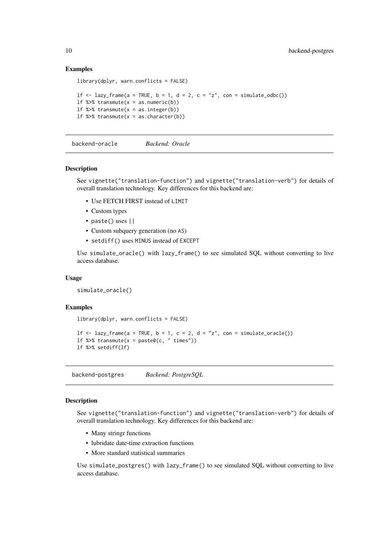#### Examples

```
library(dplyr, warn.conflicts = FALSE)
1f \leftarrow \text{lazy-frame}(a = \text{TRUE}, b = 1, d = 2, c = "z", con = simulate\_odbc())If %>% transmute(x = as.numeric(b))
lf %>% transmute(x = as.integer(b))
1f %>% transmute(x = as.character(b))
```
backend-oracle *Backend: Oracle*

#### Description

See vignette("translation-function") and vignette("translation-verb") for details of overall translation technology. Key differences for this backend are:

- Use FETCH FIRST instead of LIMIT
- Custom types
- paste() uses ||
- Custom subquery generation (no AS)
- setdiff() uses MINUS instead of EXCEPT

Use simulate\_oracle() with lazy\_frame() to see simulated SQL without converting to live access database.

#### Usage

simulate\_oracle()

#### Examples

```
library(dplyr, warn.conflicts = FALSE)
1f \leftarrow \text{lazy-frame}(a = \text{TRUE}, b = 1, c = 2, d = "z", con = simulate\_oracle())If %>% transmute(x = paste0(c, " times"))
lf %>% setdiff(lf)
```
backend-postgres *Backend: PostgreSQL*

#### <span id="page-9-1"></span>Description

See vignette("translation-function") and vignette("translation-verb") for details of overall translation technology. Key differences for this backend are:

- Many stringr functions
- lubridate date-time extraction functions
- More standard statistical summaries

Use simulate\_postgres() with lazy\_frame() to see simulated SQL without converting to live access database.

<span id="page-9-0"></span>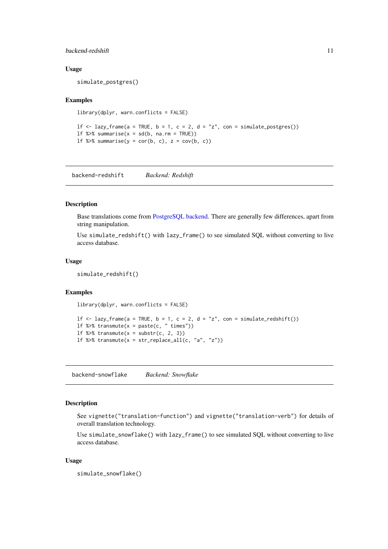#### <span id="page-10-0"></span>backend-redshift 11

#### Usage

simulate\_postgres()

#### Examples

```
library(dplyr, warn.conflicts = FALSE)
```
1f  $\le$  lazy\_frame(a = TRUE, b = 1, c = 2, d = "z", con = simulate\_postgres()) 1f % $\gg$ % summarise(x = sd(b, na.rm = TRUE)) lf %>% summarise( $y = cor(b, c)$ ,  $z = cov(b, c)$ )

backend-redshift *Backend: Redshift*

#### Description

Base translations come from [PostgreSQL backend.](#page-9-1) There are generally few differences, apart from string manipulation.

Use simulate\_redshift() with lazy\_frame() to see simulated SQL without converting to live access database.

#### Usage

simulate\_redshift()

#### Examples

```
library(dplyr, warn.conflicts = FALSE)
```

```
1f \le lazy_frame(a = TRUE, b = 1, c = 2, d = "z", con = simulate_redshift())
lf %\gg transmute(x = paste(c, " times"))
If %>% transmute(x = substr(c, 2, 3))
lf %>% transmute(x = str\_replace\_all(c, "a", "z"))
```
backend-snowflake *Backend: Snowflake*

## Description

See vignette("translation-function") and vignette("translation-verb") for details of overall translation technology.

Use simulate\_snowflake() with lazy\_frame() to see simulated SQL without converting to live access database.

## Usage

```
simulate_snowflake()
```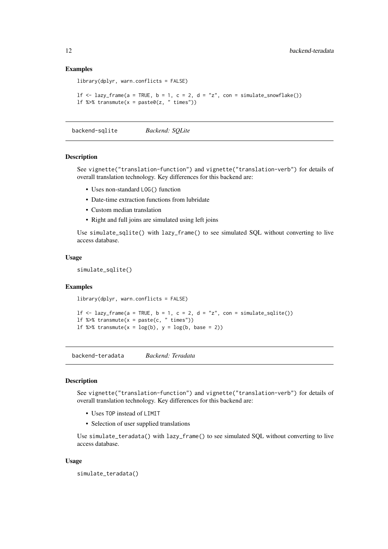#### Examples

```
library(dplyr, warn.conflicts = FALSE)
```

```
1f \leftarrow \text{lazy-frame}(a = \text{TRUE}, b = 1, c = 2, d = "z", con = simulate\_snow {Take}()If %>% transmute(x = paste0(z, " times"))
```
backend-sqlite *Backend: SQLite*

#### Description

See vignette("translation-function") and vignette("translation-verb") for details of overall translation technology. Key differences for this backend are:

- Uses non-standard LOG() function
- Date-time extraction functions from lubridate
- Custom median translation
- Right and full joins are simulated using left joins

Use simulate\_sqlite() with lazy\_frame() to see simulated SQL without converting to live access database.

#### Usage

```
simulate_sqlite()
```
#### Examples

```
library(dplyr, warn.conflicts = FALSE)
```

```
lf \le lazy_frame(a = TRUE, b = 1, c = 2, d = "z", con = simulate_sqlite())
If %>% transmute(x = paste(c, " times"))
1f %\gg transmute(x = log(b), y = log(b, base = 2))
```
backend-teradata *Backend: Teradata*

## Description

See vignette("translation-function") and vignette("translation-verb") for details of overall translation technology. Key differences for this backend are:

- Uses TOP instead of LIMIT
- Selection of user supplied translations

Use simulate\_teradata() with lazy\_frame() to see simulated SQL without converting to live access database.

## Usage

```
simulate_teradata()
```
<span id="page-11-0"></span>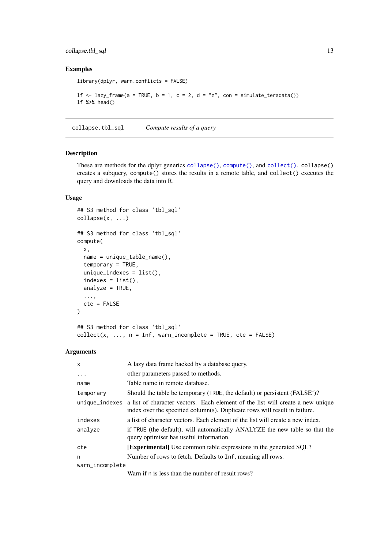#### <span id="page-12-0"></span>collapse.tbl\_sql 13

## Examples

```
library(dplyr, warn.conflicts = FALSE)
1f \leftarrow \text{lazy-frame}(a = \text{TRUE}, b = 1, c = 2, d = "z", con = simulate\_teradata())lf %>% head()
```
collapse.tbl\_sql *Compute results of a query*

## <span id="page-12-1"></span>Description

These are methods for the dplyr generics [collapse\(\)](#page-0-0), [compute\(\)](#page-0-0), and [collect\(\)](#page-0-0). collapse() creates a subquery, compute() stores the results in a remote table, and collect() executes the query and downloads the data into R.

## Usage

```
## S3 method for class 'tbl_sql'
collapse(x, \ldots)## S3 method for class 'tbl_sql'
compute(
  x,
  name = unique_table_name(),
  temporary = TRUE,
  unique_indexes = list(),
  indexes = list(),
  analyze = TRUE,
  ...,
  cte = FALSE
\lambda## S3 method for class 'tbl_sql'
collect(x, ..., n = Inf, warn_incomplete = TRUE, cte = FALSE)
```
#### Arguments

| A lazy data frame backed by a database query.                                                                                                                |  |  |  |  |
|--------------------------------------------------------------------------------------------------------------------------------------------------------------|--|--|--|--|
| other parameters passed to methods.                                                                                                                          |  |  |  |  |
| Table name in remote database.                                                                                                                               |  |  |  |  |
| Should the table be temporary (TRUE, the default) or persistent (FALSE')?                                                                                    |  |  |  |  |
| a list of character vectors. Each element of the list will create a new unique<br>index over the specified column(s). Duplicate rows will result in failure. |  |  |  |  |
| a list of character vectors. Each element of the list will create a new index.                                                                               |  |  |  |  |
| if TRUE (the default), will automatically ANALYZE the new table so that the<br>query optimiser has useful information.                                       |  |  |  |  |
| <b>[Experimental]</b> Use common table expressions in the generated SQL?                                                                                     |  |  |  |  |
| Number of rows to fetch. Defaults to Inf, meaning all rows.                                                                                                  |  |  |  |  |
| warn_incomplete                                                                                                                                              |  |  |  |  |
|                                                                                                                                                              |  |  |  |  |

Warn if n is less than the number of result rows?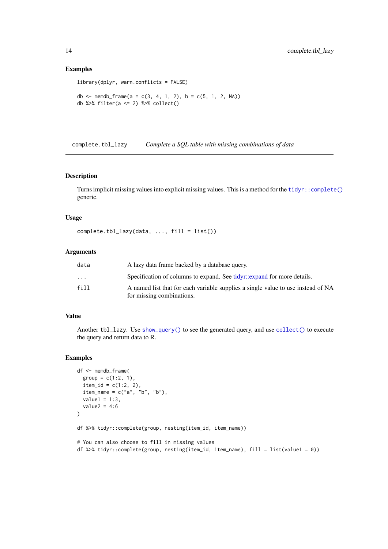## Examples

```
library(dplyr, warn.conflicts = FALSE)
db <- memdb_frame(a = c(3, 4, 1, 2), b = c(5, 1, 2, NA))
db %>% filter(a <= 2) %>% collect()
```
complete.tbl\_lazy *Complete a SQL table with missing combinations of data*

#### Description

Turns implicit missing values into explicit missing values. This is a method for the [tidyr::complete\(\)](#page-0-0) generic.

## Usage

```
complete.tbl_lazy(data, ..., fill = list())
```
#### Arguments

| data                    | A lazy data frame backed by a database query.                                                                 |
|-------------------------|---------------------------------------------------------------------------------------------------------------|
| $\cdot$ $\cdot$ $\cdot$ | Specification of columns to expand. See tidyr::expand for more details.                                       |
| fill                    | A named list that for each variable supplies a single value to use instead of NA<br>for missing combinations. |

#### Value

Another tbl\_lazy. Use [show\\_query\(\)](#page-0-0) to see the generated query, and use [collect\(\)](#page-12-1) to execute the query and return data to R.

```
df <- memdb_frame(
  group = c(1:2, 1),item_id = c(1:2, 2),item_name = c("a", "b", "b"),
  value1 = 1:3,
  value2 = 4:6)
df %>% tidyr::complete(group, nesting(item_id, item_name))
# You can also choose to fill in missing values
df %>% tidyr::complete(group, nesting(item_id, item_name), fill = list(value1 = 0))
```
<span id="page-13-0"></span>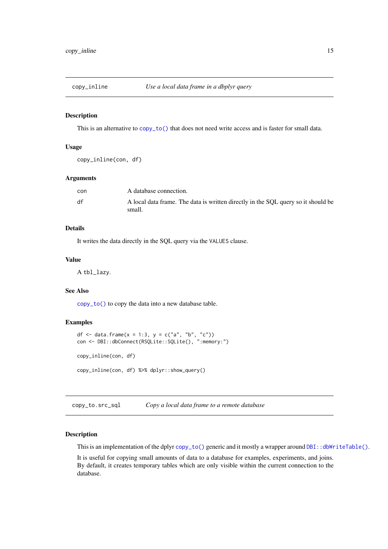<span id="page-14-1"></span><span id="page-14-0"></span>

#### Description

This is an alternative to [copy\\_to\(\)](#page-0-0) that does not need write access and is faster for small data.

## Usage

```
copy_inline(con, df)
```
## Arguments

| con | A database connection.                                                                      |
|-----|---------------------------------------------------------------------------------------------|
| df  | A local data frame. The data is written directly in the SQL query so it should be<br>small. |

## Details

It writes the data directly in the SQL query via the VALUES clause.

#### Value

A tbl\_lazy.

## See Also

[copy\\_to\(\)](#page-0-0) to copy the data into a new database table.

## Examples

```
df <- data.frame(x = 1:3, y = c("a", "b", "c"))con <- DBI::dbConnect(RSQLite::SQLite(), ":memory:")
copy_inline(con, df)
copy_inline(con, df) %>% dplyr::show_query()
```
copy\_to.src\_sql *Copy a local data frame to a remote database*

## Description

This is an implementation of the dplyr [copy\\_to\(\)](#page-0-0) generic and it mostly a wrapper around [DBI::dbWriteTable\(\)](#page-0-0).

It is useful for copying small amounts of data to a database for examples, experiments, and joins. By default, it creates temporary tables which are only visible within the current connection to the database.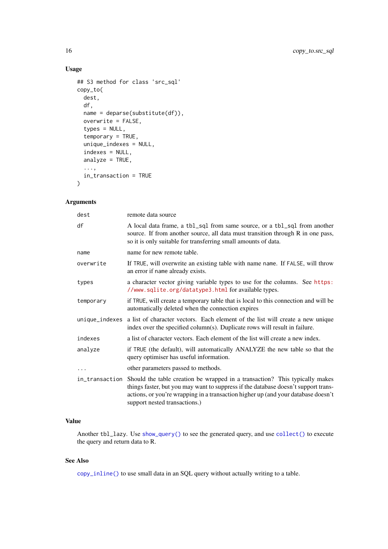## Usage

```
## S3 method for class 'src_sql'
copy_to(
  dest,
  df,
  name = deparse(substitute(df)),
  overwrite = FALSE,
  types = NULL,
  temporary = TRUE,
  unique_indexes = NULL,
  indexes = NULL,
  analyze = TRUE,
  ...,
  in_transaction = TRUE
)
```
## Arguments

| dest           | remote data source                                                                                                                                                                                                                                                                                     |
|----------------|--------------------------------------------------------------------------------------------------------------------------------------------------------------------------------------------------------------------------------------------------------------------------------------------------------|
| df             | A local data frame, a tbl_sql from same source, or a tbl_sql from another<br>source. If from another source, all data must transition through R in one pass,<br>so it is only suitable for transferring small amounts of data.                                                                         |
| name           | name for new remote table.                                                                                                                                                                                                                                                                             |
| overwrite      | If TRUE, will overwrite an existing table with name name. If FALSE, will throw<br>an error if name already exists.                                                                                                                                                                                     |
| types          | a character vector giving variable types to use for the columns. See https:<br>//www.sqlite.org/datatype3.html for available types.                                                                                                                                                                    |
| temporary      | if TRUE, will create a temporary table that is local to this connection and will be<br>automatically deleted when the connection expires                                                                                                                                                               |
| unique_indexes | a list of character vectors. Each element of the list will create a new unique<br>index over the specified column(s). Duplicate rows will result in failure.                                                                                                                                           |
| indexes        | a list of character vectors. Each element of the list will create a new index.                                                                                                                                                                                                                         |
| analyze        | if TRUE (the default), will automatically ANALYZE the new table so that the<br>query optimiser has useful information.                                                                                                                                                                                 |
| $\cdots$       | other parameters passed to methods.                                                                                                                                                                                                                                                                    |
|                | in_transaction Should the table creation be wrapped in a transaction? This typically makes<br>things faster, but you may want to suppress if the database doesn't support trans-<br>actions, or you're wrapping in a transaction higher up (and your database doesn't<br>support nested transactions.) |

## Value

Another tbl\_lazy. Use [show\\_query\(\)](#page-0-0) to see the generated query, and use [collect\(\)](#page-12-1) to execute the query and return data to R.

## See Also

[copy\\_inline\(\)](#page-14-1) to use small data in an SQL query without actually writing to a table.

<span id="page-15-0"></span>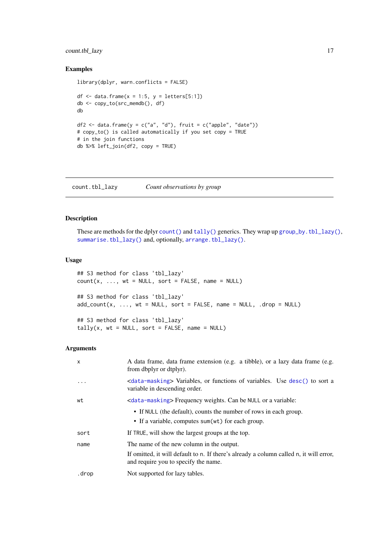#### <span id="page-16-0"></span>count.tbl\_lazy 17

## Examples

```
library(dplyr, warn.conflicts = FALSE)
df \le data.frame(x = 1:5, y = letters[5:1])
db <- copy_to(src_memdb(), df)
db
df2 <- data.frame(y = c("a", "d"), fruit = c("apple", "date"))
# copy_to() is called automatically if you set copy = TRUE
# in the join functions
db %>% left_join(df2, copy = TRUE)
```
count.tbl\_lazy *Count observations by group*

## Description

These are methods for the dplyr [count\(\)](#page-0-0) and [tally\(\)](#page-0-0) generics. They wrap up [group\\_by.tbl\\_lazy\(\)](#page-24-1), [summarise.tbl\\_lazy\(\)](#page-47-1) and, optionally, [arrange.tbl\\_lazy\(\)](#page-4-1).

### Usage

```
## S3 method for class 'tbl_lazy'
count(x, ..., wt = NULL, sort = FALSE, name = NULL)## S3 method for class 'tbl_lazy'
add_count(x, ..., wt = NULL, sort = FALSE, name = NULL, .drop = NULL)## S3 method for class 'tbl_lazy'
tally(x, wt = NULL, sort = FALSE, name = NULL)
```
#### Arguments

| $\mathsf{x}$ | A data frame, data frame extension (e.g. a tibble), or a lazy data frame (e.g.<br>from dbplyr or dtplyr).                      |
|--------------|--------------------------------------------------------------------------------------------------------------------------------|
| $\ddotsc$    | <data-masking> Variables, or functions of variables. Use desc() to sort a<br/>variable in descending order.</data-masking>     |
| wt           |                                                                                                                                |
|              | • If NULL (the default), counts the number of rows in each group.<br>• If a variable, computes sum(wt) for each group.         |
|              |                                                                                                                                |
| sort         | If TRUE, will show the largest groups at the top.                                                                              |
| name         | The name of the new column in the output.                                                                                      |
|              | If omitted, it will default to n. If there's already a column called n, it will error,<br>and require you to specify the name. |
| .drop        | Not supported for lazy tables.                                                                                                 |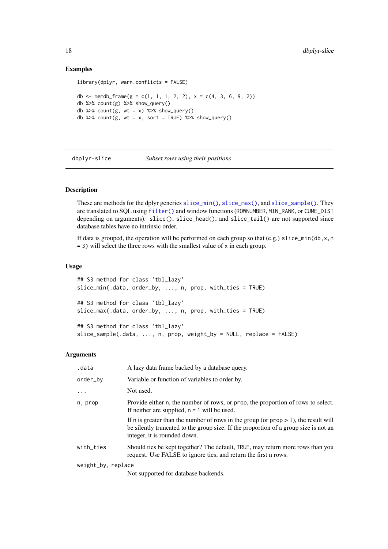#### Examples

```
library(dplyr, warn.conflicts = FALSE)
db <- memdb_frame(g = c(1, 1, 1, 2, 2), x = c(4, 3, 6, 9, 2))
db %>% count(g) %>% show_query()
db %>% count(g, wt = x) %>% show_query()
db %>% count(g, wt = x, sort = TRUE) %>% show_query()
```
dbplyr-slice *Subset rows using their positions*

#### Description

These are methods for the dplyr generics [slice\\_min\(\)](#page-0-0), [slice\\_max\(\)](#page-0-0), and [slice\\_sample\(\)](#page-0-0). They are translated to SQL using [filter\(\)](#page-0-0) and window functions (ROWNUMBER, MIN\_RANK, or CUME\_DIST depending on arguments). slice(), slice\_head(), and slice\_tail() are not supported since database tables have no intrinsic order.

If data is grouped, the operation will be performed on each group so that (e.g.) slice\_min(db,  $x, n$  $= 3$ ) will select the three rows with the smallest value of x in each group.

#### Usage

```
## S3 method for class 'tbl_lazy'
slice_min(.data, order_by, ..., n, prop, with_ties = TRUE)
## S3 method for class 'tbl_lazy'
slice_max(.data, order_by, ..., n, prop, with_ties = TRUE)
## S3 method for class 'tbl_lazy'
slice_sample(.data, ..., n, prop, weight_by = NULL, replace = FALSE)
```
#### Arguments

| .data              | A lazy data frame backed by a database query.                                                                                                                                                                  |
|--------------------|----------------------------------------------------------------------------------------------------------------------------------------------------------------------------------------------------------------|
| order_by           | Variable or function of variables to order by.                                                                                                                                                                 |
|                    | Not used.                                                                                                                                                                                                      |
| n, prop            | Provide either n, the number of rows, or prop, the proportion of rows to select.<br>If neither are supplied, $n = 1$ will be used.                                                                             |
|                    | If n is greater than the number of rows in the group (or $prop > 1$ ), the result will<br>be silently truncated to the group size. If the proportion of a group size is not an<br>integer, it is rounded down. |
| with_ties          | Should ties be kept together? The default, TRUE, may return more rows than you<br>request. Use FALSE to ignore ties, and return the first n rows.                                                              |
| weight_by, replace |                                                                                                                                                                                                                |
|                    |                                                                                                                                                                                                                |

Not supported for database backends.

<span id="page-17-0"></span>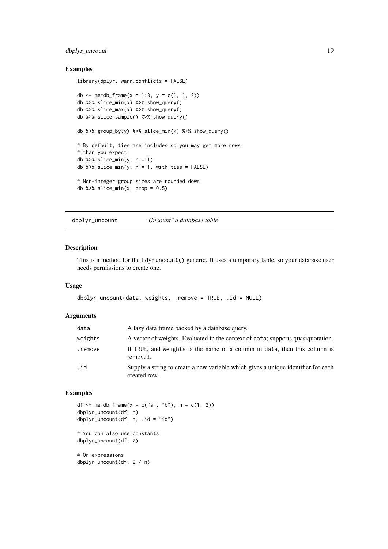#### <span id="page-18-0"></span>dbplyr\_uncount 19

## Examples

```
library(dplyr, warn.conflicts = FALSE)
db <- memdb_frame(x = 1:3, y = c(1, 1, 2))
db %>% slice_min(x) %>% show_query()
db %>% slice_max(x) %>% show_query()
db %>% slice_sample() %>% show_query()
db %>% group_by(y) %>% slice_min(x) %>% show_query()
# By default, ties are includes so you may get more rows
# than you expect
db %>% slice_min(y, n = 1)
db %>% slice_min(y, n = 1, with_ties = FALSE)
# Non-integer group sizes are rounded down
db %>% slice_min(x, prop = 0.5)
```
dbplyr\_uncount *"Uncount" a database table*

#### Description

This is a method for the tidyr uncount() generic. It uses a temporary table, so your database user needs permissions to create one.

## Usage

```
dbplyr_uncount(data, weights, .remove = TRUE, .id = NULL)
```
#### Arguments

| data    | A lazy data frame backed by a database query.                                                     |
|---------|---------------------------------------------------------------------------------------------------|
| weights | A vector of weights. Evaluated in the context of data; supports quasiquotation.                   |
| .remove | If TRUE, and weights is the name of a column in data, then this column is<br>removed.             |
| .id     | Supply a string to create a new variable which gives a unique identifier for each<br>created row. |

```
df <- memdb_frame(x = c("a", "b"), n = c(1, 2))
dbplyr_uncount(df, n)
dbplyr_uncount(df, n, .id = "id")
# You can also use constants
dbplyr_uncount(df, 2)
# Or expressions
dbplyr_uncount(df, 2 / n)
```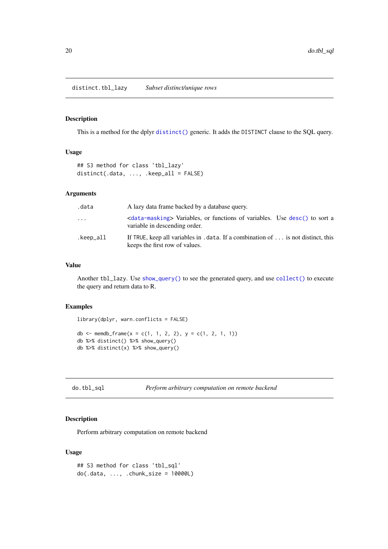<span id="page-19-0"></span>distinct.tbl\_lazy *Subset distinct/unique rows*

## Description

This is a method for the dplyr [distinct\(\)](#page-0-0) generic. It adds the DISTINCT clause to the SQL query.

## Usage

```
## S3 method for class 'tbl_lazy'
distinct(.data, ..., .keep_all = FALSE)
```
#### Arguments

| .data     | A lazy data frame backed by a database query.                                                                              |
|-----------|----------------------------------------------------------------------------------------------------------------------------|
| $\cdots$  | <data-masking> Variables, or functions of variables. Use desc() to sort a<br/>variable in descending order.</data-masking> |
| .keep_all | If TRUE, keep all variables in . data. If a combination of $\dots$ is not distinct, this<br>keeps the first row of values. |

#### Value

Another tbl\_lazy. Use [show\\_query\(\)](#page-0-0) to see the generated query, and use [collect\(\)](#page-12-1) to execute the query and return data to R.

#### Examples

```
library(dplyr, warn.conflicts = FALSE)
db <- memdb_frame(x = c(1, 1, 2, 2), y = c(1, 2, 1, 1))
db %>% distinct() %>% show_query()
db %>% distinct(x) %>% show_query()
```

```
do.tbl_sql Perform arbitrary computation on remote backend
```
## Description

Perform arbitrary computation on remote backend

## Usage

```
## S3 method for class 'tbl_sql'
do(.data, ..., .chunk_size = 10000L)
```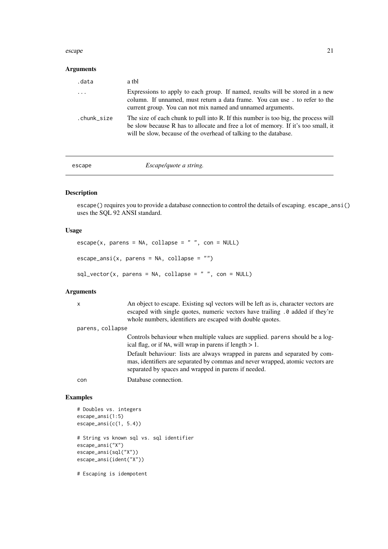#### <span id="page-20-0"></span>escape 21

## Arguments

| .data       | a tbl                                                                                                                                                                                                                                        |
|-------------|----------------------------------------------------------------------------------------------------------------------------------------------------------------------------------------------------------------------------------------------|
| $\cdots$    | Expressions to apply to each group. If named, results will be stored in a new<br>column. If unnamed, must return a data frame. You can use. to refer to the<br>current group. You can not mix named and unnamed arguments.                   |
| .chunk_size | The size of each chunk to pull into R. If this number is too big, the process will<br>be slow because R has to allocate and free a lot of memory. If it's too small, it<br>will be slow, because of the overhead of talking to the database. |

escape *Escape/quote a string.*

## Description

escape() requires you to provide a database connection to control the details of escaping. escape\_ansi() uses the SQL 92 ANSI standard.

#### Usage

```
\text{escape}(x, \text{ parents} = \text{NA}, \text{ collapse} = "", \text{con} = \text{NULL})escape\_ansi(x, parents = NA, collapse = "")
```

```
sql\_vector(x, parents = NA, collapse = " " , con = NULL)
```
## Arguments

| $\mathsf{x}$     | An object to escape. Existing sql vectors will be left as is, character vectors are |
|------------------|-------------------------------------------------------------------------------------|
|                  | escaped with single quotes, numeric vectors have trailing .0 added if they're       |
|                  | whole numbers, identifiers are escaped with double quotes.                          |
| parens, collapse |                                                                                     |
|                  | Controls behaviour when multiple values are supplied, parens should be a log-       |
|                  | ical flag, or if NA, will wrap in parens if length $> 1$ .                          |
|                  | Default behaviour: lists are always wrapped in parens and separated by com-         |

Default behaviour: lists are always wrapped in parens and separated by commas, identifiers are separated by commas and never wrapped, atomic vectors are separated by spaces and wrapped in parens if needed.

con Database connection.

#### Examples

```
# Doubles vs. integers
escape_ansi(1:5)
escape_ansi(c(1, 5.4))
# String vs known sql vs. sql identifier
escape_ansi("X")
escape_ansi(sql("X"))
escape_ansi(ident("X"))
```
# Escaping is idempotent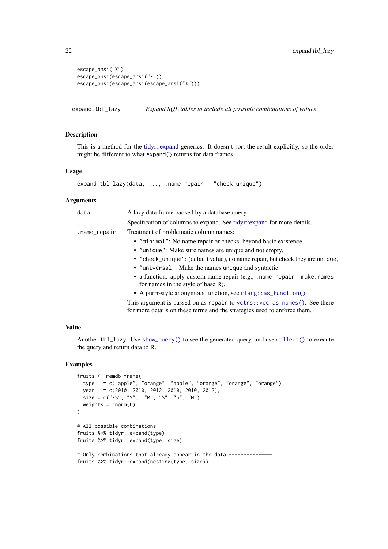```
escape_ansi("X")
escape_ansi(escape_ansi("X"))
escape_ansi(escape_ansi(escape_ansi("X")))
```
expand.tbl\_lazy *Expand SQL tables to include all possible combinations of values*

## Description

This is a method for the [tidyr::expand](#page-0-0) generics. It doesn't sort the result explicitly, so the order might be different to what expand() returns for data frames.

#### Usage

```
expand.tbl_lazy(data, ..., .name_repair = "check_unique")
```
#### Arguments

| data         | A lazy data frame backed by a database query.                                                                   |
|--------------|-----------------------------------------------------------------------------------------------------------------|
| $\ddots$     | Specification of columns to expand. See tidyr::expand for more details.                                         |
| .name_repair | Treatment of problematic column names:                                                                          |
|              | • "minimal": No name repair or checks, beyond basic existence,                                                  |
|              | • "unique": Make sure names are unique and not empty,                                                           |
|              | • "check_unique": (default value), no name repair, but check they are unique,                                   |
|              | • "universal": Make the names unique and syntactic                                                              |
|              | • a function: apply custom name repair $(e.g., .name_repair = make.name)$<br>for names in the style of base R). |
|              | • A purrr-style anonymous function, see rlang: : as_function()                                                  |
|              | This argument is passed on as repair to $vctrs$ : $vec-as_names()$ . See there                                  |

for more details on these terms and the strategies used to enforce them.

## Value

Another tbl\_lazy. Use [show\\_query\(\)](#page-0-0) to see the generated query, and use [collect\(\)](#page-12-1) to execute the query and return data to R.

```
fruits <- memdb_frame(
  type = c("apple", "orange", "apple", "orange", "orange", "orange"),
  year = c(2010, 2010, 2012, 2010, 2010, 2012).size = c("XS", "S", "M", "S", "S", "M"),
 weights = rnorm(6)\lambda# All possible combinations ---------------------------------------
fruits %>% tidyr::expand(type)
fruits %>% tidyr::expand(type, size)
# Only combinations that already appear in the data --------------
fruits %>% tidyr::expand(nesting(type, size))
```
<span id="page-21-0"></span>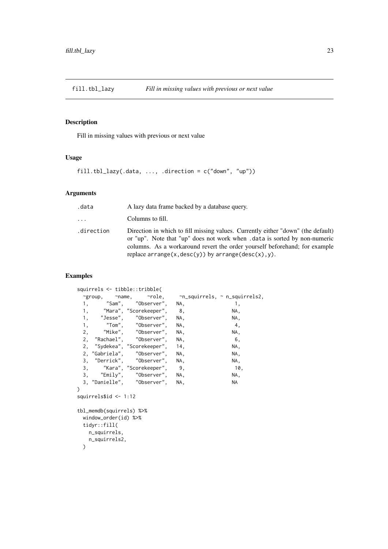<span id="page-22-0"></span>

## Description

Fill in missing values with previous or next value

## Usage

fill.tbl\_lazy(.data, ..., .direction = c("down", "up"))

## Arguments

| .data      | A lazy data frame backed by a database query.                                                                                                                                                                                                                                                                 |
|------------|---------------------------------------------------------------------------------------------------------------------------------------------------------------------------------------------------------------------------------------------------------------------------------------------------------------|
| $\cdots$   | Columns to fill.                                                                                                                                                                                                                                                                                              |
| .direction | Direction in which to fill missing values. Currently either "down" (the default)<br>or "up". Note that "up" does not work when .data is sorted by non-numeric<br>columns. As a workaround revert the order yourself beforehand; for example<br>replace $\ar{range}(x, desc(y))$ by $\ar{range}(desc(x), y)$ . |

```
squirrels <- tibble::tribble(
 ~group, ~name, ~role, ~n_squirrels, ~ n_squirrels2,
 1, "Sam", "Observer", NA, 1,
 1, "Mara", "Scorekeeper", 8, NA,
 1, "Jesse", "Observer", NA, NA, NA,<br>1, "Tom", "Observer", NA, 1, 1,
 1, "Tom", "Observer", NA, 4,
 2, "Mike", "Observer", NA, NA,
 2, "Rachael", "Observer", NA, 6,
 2, "Sydekea", "Scorekeeper", 14, NA,
 2, "Gabriela", "Observer", NA, NA,
 3, "Derrick", "Observer", NA, NA, NA,
 3, "Kara", "Scorekeeper", 9, 10,
 3, "Emily", "Observer", NA, NA,
 3, "Danielle", "Observer", NA, NA
\lambdasquirrels$id <- 1:12
tbl_memdb(squirrels) %>%
 window_order(id) %>%
 tidyr::fill(
  n_squirrels,
   n_squirrels2,
 \lambda
```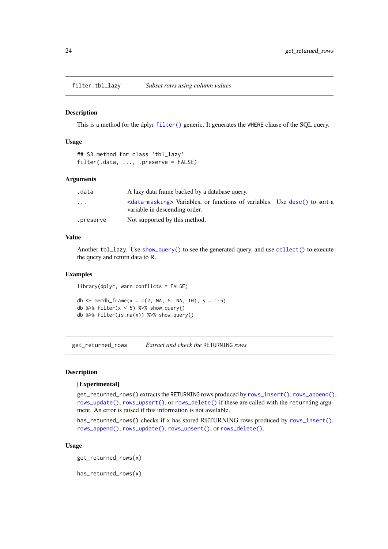<span id="page-23-0"></span>filter.tbl\_lazy *Subset rows using column values*

#### Description

This is a method for the dplyr [filter\(\)](#page-0-0) generic. It generates the WHERE clause of the SQL query.

## Usage

```
## S3 method for class 'tbl_lazy'
filter(.data, ..., .preserve = FALSE)
```
#### Arguments

| .data     | A lazy data frame backed by a database query.                                                                              |  |
|-----------|----------------------------------------------------------------------------------------------------------------------------|--|
| $\cdots$  | <data-masking> Variables, or functions of variables. Use desc() to sort a<br/>variable in descending order.</data-masking> |  |
| .preserve | Not supported by this method.                                                                                              |  |

#### Value

Another tbl\_lazy. Use [show\\_query\(\)](#page-0-0) to see the generated query, and use [collect\(\)](#page-12-1) to execute the query and return data to R.

## Examples

library(dplyr, warn.conflicts = FALSE)

db <- memdb\_frame(x = c(2, NA, 5, NA, 10), y = 1:5) db % $>$ % filter(x < 5) % $>$ % show\_query() db %>% filter(is.na(x)) %>% show\_query()

<span id="page-23-1"></span>get\_returned\_rows *Extract and check the* RETURNING *rows*

#### Description

#### [Experimental]

get\_returned\_rows() extracts the RETURNING rows produced by [rows\\_insert\(\)](#page-0-0), [rows\\_append\(\)](#page-0-0), [rows\\_update\(\)](#page-0-0), [rows\\_upsert\(\)](#page-0-0), or [rows\\_delete\(\)](#page-0-0) if these are called with the returning argument. An error is raised if this information is not available.

has\_returned\_rows() checks if x has stored RETURNING rows produced by [rows\\_insert\(\)](#page-0-0), [rows\\_append\(\)](#page-0-0), [rows\\_update\(\)](#page-0-0), [rows\\_upsert\(\)](#page-0-0), or [rows\\_delete\(\)](#page-0-0).

## Usage

get\_returned\_rows(x)

has\_returned\_rows(x)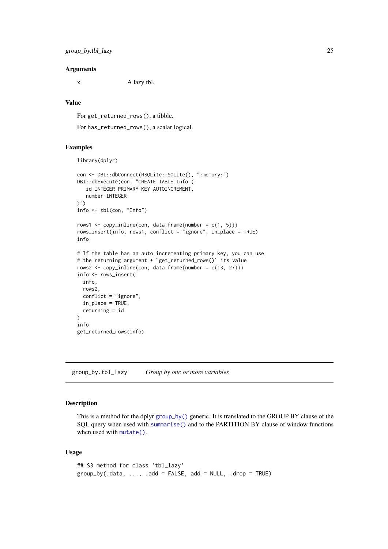#### <span id="page-24-0"></span>Arguments

x A lazy tbl.

## Value

For get\_returned\_rows(), a tibble.

For has\_returned\_rows(), a scalar logical.

#### Examples

```
library(dplyr)
```

```
con <- DBI::dbConnect(RSQLite::SQLite(), ":memory:")
DBI::dbExecute(con, "CREATE TABLE Info (
   id INTEGER PRIMARY KEY AUTOINCREMENT,
  number INTEGER
)")
info <- tbl(con, "Info")
rows1 <- copy_inline(con, data.frame(number = c(1, 5)))
rows_insert(info, rows1, conflict = "ignore", in_place = TRUE)
info
# If the table has an auto incrementing primary key, you can use
# the returning argument + `get_returned_rows()` its value
rows2 <- copy_inline(con, data.frame(number = c(13, 27)))
info <- rows_insert(
  info,
  rows2,
  conflict = "ignore",
  in_place = TRUE,
  returning = id
\lambdainfo
get_returned_rows(info)
```
<span id="page-24-1"></span>group\_by.tbl\_lazy *Group by one or more variables*

## Description

This is a method for the dplyr [group\\_by\(\)](#page-0-0) generic. It is translated to the GROUP BY clause of the SQL query when used with [summarise\(\)](#page-47-1) and to the PARTITION BY clause of window functions when used with [mutate\(\)](#page-32-1).

## Usage

```
## S3 method for class 'tbl_lazy'
group_by(.data, ..., .add = FALSE, add = NULL, .drop = TRUE)
```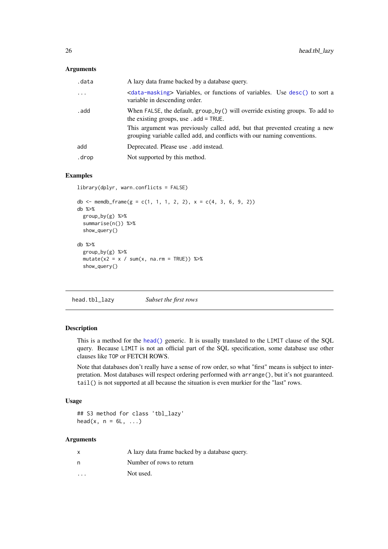## <span id="page-25-0"></span>Arguments

| .data    | A lazy data frame backed by a database query.                                                                                                          |
|----------|--------------------------------------------------------------------------------------------------------------------------------------------------------|
| $\ddots$ | <data-masking> Variables, or functions of variables. Use desc() to sort a<br/>variable in descending order.</data-masking>                             |
| . add    | When FALSE, the default, $group_by()$ will override existing groups. To add to<br>the existing groups, use $ad = \text{TRUE}$ .                        |
|          | This argument was previously called add, but that prevented creating a new<br>grouping variable called add, and conflicts with our naming conventions. |
| add      | Deprecated. Please use . add instead.                                                                                                                  |
| .drop    | Not supported by this method.                                                                                                                          |

## Examples

```
library(dplyr, warn.conflicts = FALSE)
```

```
db <- memdb_frame(g = c(1, 1, 1, 2, 2), x = c(4, 3, 6, 9, 2))
db %>%
  group_by(g) %>%
  summarise(n()) %>%
  show_query()
db %>%
  group_by(g) %>%
  mutate(x2 = x / sum(x, na.rm = TRUE)) %show_query()
```
head.tbl\_lazy *Subset the first rows*

## Description

This is a method for the [head\(\)](#page-0-0) generic. It is usually translated to the LIMIT clause of the SQL query. Because LIMIT is not an official part of the SQL specification, some database use other clauses like TOP or FETCH ROWS.

Note that databases don't really have a sense of row order, so what "first" means is subject to interpretation. Most databases will respect ordering performed with arrange(), but it's not guaranteed. tail() is not supported at all because the situation is even murkier for the "last" rows.

## Usage

## S3 method for class 'tbl\_lazy' head $(x, n = 6L, ...)$ 

## Arguments

| X                       | A lazy data frame backed by a database query. |
|-------------------------|-----------------------------------------------|
| n                       | Number of rows to return                      |
| $\cdot$ $\cdot$ $\cdot$ | Not used.                                     |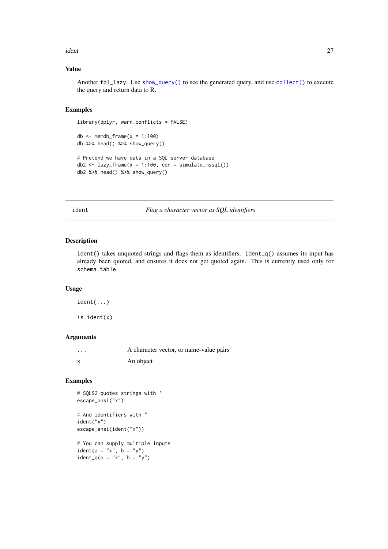#### <span id="page-26-0"></span>ident 27

## Value

Another tbl\_lazy. Use [show\\_query\(\)](#page-0-0) to see the generated query, and use [collect\(\)](#page-12-1) to execute the query and return data to R.

## Examples

```
library(dplyr, warn.conflicts = FALSE)
```

```
db \le - memdb_frame(x = 1:100)
db %>% head() %>% show_query()
# Pretend we have data in a SQL server database
db2 \leq -\text{lazy-frame}(x = 1:100, \text{con} = \text{simulate\_msg1}())db2 %>% head() %>% show_query()
```
ident *Flag a character vector as SQL identifiers*

## Description

ident() takes unquoted strings and flags them as identifiers. ident $_q()$  assumes its input has already been quoted, and ensures it does not get quoted again. This is currently used only for schema.table.

## Usage

ident(...)

is.ident(x)

## Arguments

| $\cdot$ | A character vector, or name-value pairs |
|---------|-----------------------------------------|
|         | An object                               |

## Examples

```
# SQL92 quotes strings with '
escape_ansi("x")
# And identifiers with "
ident("x")
escape_ansi(ident("x"))
# You can supply multiple inputs
```
 $ident(a = "x", b = "y")$ ident\_q(a = "x", b = "y")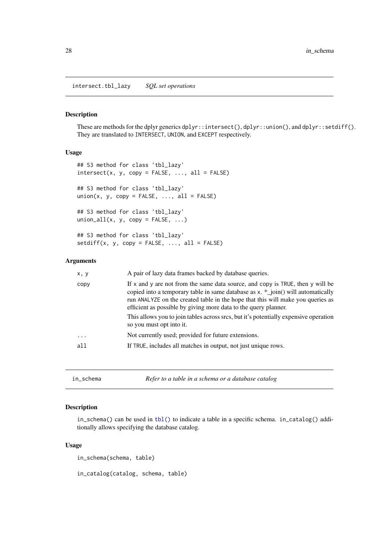<span id="page-27-0"></span>intersect.tbl\_lazy *SQL set operations*

#### Description

These are methods for the dplyr generics dplyr::intersect(), dplyr::union(), and dplyr::setdiff(). They are translated to INTERSECT, UNION, and EXCEPT respectively.

## Usage

```
## S3 method for class 'tbl_lazy'
intersect(x, y, copy = FALSE, ..., all = FALSE)## S3 method for class 'tbl_lazy'
union(x, y, copy = FALSE, ..., all = FALSE)## S3 method for class 'tbl_lazy'
union_all(x, y, copy = FALSE, ...)## S3 method for class 'tbl_lazy'
setdiff(x, y, copy = FALSE, ..., all = FALSE)
```
## Arguments

| x, y      | A pair of lazy data frames backed by database queries.                                                                                                                                                                                                                                                                     |
|-----------|----------------------------------------------------------------------------------------------------------------------------------------------------------------------------------------------------------------------------------------------------------------------------------------------------------------------------|
| copy      | If x and y are not from the same data source, and copy is TRUE, then y will be<br>copied into a temporary table in same database as $x. *$ join() will automatically<br>run ANALYZE on the created table in the hope that this will make you queries as<br>efficient as possible by giving more data to the query planner. |
|           | This allows you to join tables across srcs, but it's potentially expensive operation<br>so you must opt into it.                                                                                                                                                                                                           |
| $\ddotsc$ | Not currently used; provided for future extensions.                                                                                                                                                                                                                                                                        |
| a11       | If TRUE, includes all matches in output, not just unique rows.                                                                                                                                                                                                                                                             |

<span id="page-27-1"></span>

| Refer to a table in a schema or a database catalog<br>in schema |  |
|-----------------------------------------------------------------|--|
|-----------------------------------------------------------------|--|

## Description

in\_schema() can be used in [tbl\(\)](#page-0-0) to indicate a table in a specific schema. in\_catalog() additionally allows specifying the database catalog.

## Usage

in\_schema(schema, table)

in\_catalog(catalog, schema, table)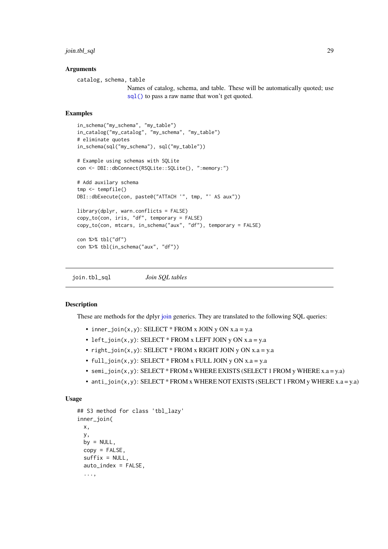<span id="page-28-0"></span>join.tbl\_sql 29

#### Arguments

catalog, schema, table

Names of catalog, schema, and table. These will be automatically quoted; use [sql\(\)](#page-44-1) to pass a raw name that won't get quoted.

#### Examples

```
in_schema("my_schema", "my_table")
in_catalog("my_catalog", "my_schema", "my_table")
# eliminate quotes
in_schema(sql("my_schema"), sql("my_table"))
# Example using schemas with SQLite
con <- DBI::dbConnect(RSQLite::SQLite(), ":memory:")
# Add auxilary schema
tmp <- tempfile()
DBI::dbExecute(con, paste0("ATTACH '", tmp, "' AS aux"))
library(dplyr, warn.conflicts = FALSE)
copy_to(con, iris, "df", temporary = FALSE)
copy_to(con, mtcars, in_schema("aux", "df"), temporary = FALSE)
con %>% tbl("df")
con %>% tbl(in_schema("aux", "df"))
```
join.tbl\_sql *Join SQL tables*

#### Description

These are methods for the dplyr [join](#page-0-0) generics. They are translated to the following SQL queries:

- inner\_join(x,y): SELECT \* FROM x JOIN y ON  $x.a = y.a$
- left\_join(x,y): SELECT  $*$  FROM x LEFT JOIN y ON x.a = y.a
- right\_join(x,y): SELECT \* FROM x RIGHT JOIN y ON  $x.a = y.a$
- full\_join $(x, y)$ : SELECT \* FROM x FULL JOIN y ON  $x.a = y.a$
- semi\_join(x,y): SELECT \* FROM x WHERE EXISTS (SELECT 1 FROM y WHERE  $x.a = y.a$ )
- anti\_join(x,y): SELECT \* FROM x WHERE NOT EXISTS (SELECT 1 FROM y WHERE x.a = y.a)

#### Usage

```
## S3 method for class 'tbl_lazy'
inner_join(
 x,
 y,
 by = NULL,
 copy = FALSE,
 suffix = NULL,auto_index = FALSE,
  ...,
```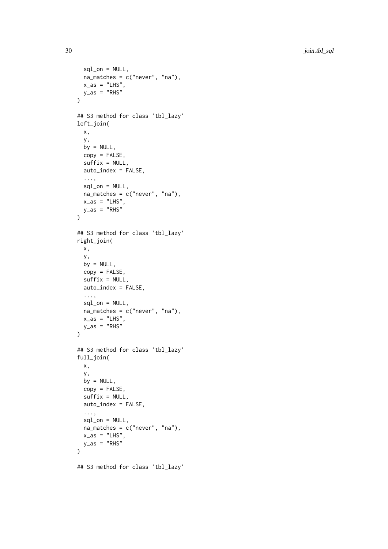```
sql_0n = NULL,na_matches = c("never", "na"),
  x\_{as} = "LHS",
  y<sub>-</sub>as = "RHS")
## S3 method for class 'tbl_lazy'
left_join(
  x,
  y,
  by = NULL,
  copy = FALSE,
  suffix = NULL,
  auto_index = FALSE,
  ...,
  sql_0n = NULL,na_matches = c("never", "na"),
  x\_{as} = "LHS",y<sub>-</sub>as = "RHS")
## S3 method for class 'tbl_lazy'
right_join(
  x,
  y,
  by = NULL,
  copy = FALSE,
  sufficient>x = NULL,auto_index = FALSE,
  ...,
  sql_n = NULL,
  na_matches = c("never", "na"),
  x\_{as} = "LHS",
  y<sub>-</sub>as = "RHS"\lambda## S3 method for class 'tbl_lazy'
full_join(
  x,
  y,
  by = NULL,
  copy = FALSE,
  suffix = NULL,auto_index = FALSE,
  ...,
  sql\_on = NULL,na_matches = c("never", "na"),
  x\_{as} = "LHS",
  y<sub>-</sub>as = "RHS")
## S3 method for class 'tbl_lazy'
```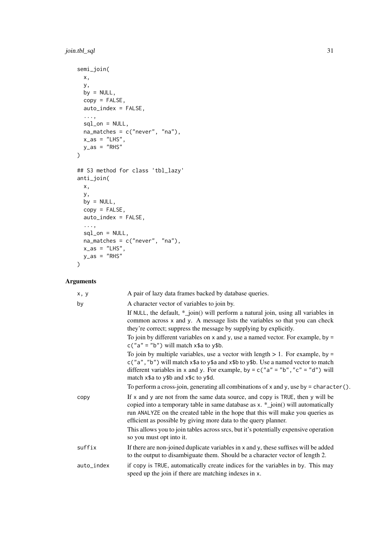## join.tbl\_sql 31

```
semi_join(
  x,
  y,
  by = NULL,
  copy = FALSE,auto_index = FALSE,
  ...,
  sql\_on = NULL,na_matches = c("never", "na"),
 x<sub>-</sub>as = "LHS",
 y<sub>-</sub>as = "RHS")
## S3 method for class 'tbl_lazy'
anti_join(
  x,
  y,
  by = NULL,
  copy = FALSE,
  auto_index = FALSE,
  ...,
  sal\_on = NULL,na_matches = c("never", "na"),
 x\_{as} = "LHS",y_as = "RHS"
)
```
## Arguments

| x, y       | A pair of lazy data frames backed by database queries.                                                                                                                                                                                                                                                                   |
|------------|--------------------------------------------------------------------------------------------------------------------------------------------------------------------------------------------------------------------------------------------------------------------------------------------------------------------------|
| by         | A character vector of variables to join by.                                                                                                                                                                                                                                                                              |
|            | If NULL, the default, $*$ _join() will perform a natural join, using all variables in<br>common across x and y. A message lists the variables so that you can check<br>they're correct; suppress the message by supplying by explicitly.                                                                                 |
|            | To join by different variables on $x$ and $y$ , use a named vector. For example, by =<br>$c("a" = "b")$ will match $x$ \$a to $y$ \$b.                                                                                                                                                                                   |
|            | To join by multiple variables, use a vector with length $> 1$ . For example, by =<br>c("a", "b") will match x\$a to y\$a and x\$b to y\$b. Use a named vector to match<br>different variables in x and y. For example, by = $c("a" = "b", "c" = "d")$ will<br>match x\$a to y\$b and x\$c to y\$d.                       |
|            | To perform a cross-join, generating all combinations of x and y, use by = character().                                                                                                                                                                                                                                   |
| copy       | If x and y are not from the same data source, and copy is TRUE, then y will be<br>copied into a temporary table in same database as x. *_join() will automatically<br>run ANALYZE on the created table in the hope that this will make you queries as<br>efficient as possible by giving more data to the query planner. |
|            | This allows you to join tables across srcs, but it's potentially expensive operation<br>so you must opt into it.                                                                                                                                                                                                         |
| suffix     | If there are non-joined duplicate variables in x and y, these suffixes will be added<br>to the output to disambiguate them. Should be a character vector of length 2.                                                                                                                                                    |
| auto_index | if copy is TRUE, automatically create indices for the variables in by. This may<br>speed up the join if there are matching indexes in x.                                                                                                                                                                                 |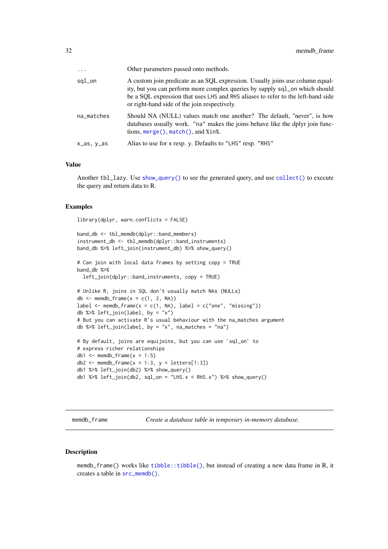<span id="page-31-0"></span>

| $\cdots$   | Other parameters passed onto methods.                                                                                                                                                                                                                                                            |
|------------|--------------------------------------------------------------------------------------------------------------------------------------------------------------------------------------------------------------------------------------------------------------------------------------------------|
| sql_on     | A custom join predicate as an SQL expression. Usually joins use column equal-<br>ity, but you can perform more complex queries by supply sql_on which should<br>be a SQL expression that uses LHS and RHS aliases to refer to the left-hand side<br>or right-hand side of the join respectively. |
| na_matches | Should NA (NULL) values match one another? The default, "never", is how<br>databases usually work. "na" makes the joins behave like the dplyr join func-<br>tions, merge(), match(), and %in%.                                                                                                   |
| x_as, y_as | Alias to use for x resp. y. Defaults to "LHS" resp. "RHS"                                                                                                                                                                                                                                        |

#### Value

Another tbl\_lazy. Use [show\\_query\(\)](#page-0-0) to see the generated query, and use [collect\(\)](#page-12-1) to execute the query and return data to R.

#### Examples

library(dplyr, warn.conflicts = FALSE)

```
band_db <- tbl_memdb(dplyr::band_members)
instrument_db <- tbl_memdb(dplyr::band_instruments)
band_db %>% left_join(instrument_db) %>% show_query()
# Can join with local data frames by setting copy = TRUE
band_db %>%
 left_join(dplyr::band_instruments, copy = TRUE)
# Unlike R, joins in SQL don't usually match NAs (NULLs)
db \le - memdb_frame(x = c(1, 2, NA))
label \leq memdb_frame(x = c(1, NA), label = c("one", "missing"))
db %>% left_join(label, by = "x")
# But you can activate R's usual behaviour with the na_matches argument
db %>% left_join(label, by = "x", na_matches = "na")
# By default, joins are equijoins, but you can use `sql_on` to
# express richer relationships
db1 \leq memdb_frame(x = 1:5)
db2 <- memdb_frame(x = 1:3, y = letters[1:3])
db1 %>% left_join(db2) %>% show_query()
db1 %\gg% left_join(db2, sql_on = "LHS.x < RHS.x") %\gg% show_query()
```
memdb\_frame *Create a database table in temporary in-memory database.*

#### <span id="page-31-1"></span>Description

memdb\_frame() works like [tibble::tibble\(\)](#page-0-0), but instead of creating a new data frame in R, it creates a table in [src\\_memdb\(\)](#page-31-1).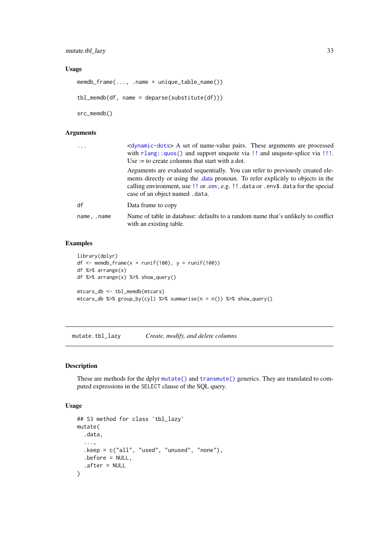## <span id="page-32-0"></span>Usage

```
memdb_frame(..., .name = unique_table_name())
```
tbl\_memdb(df, name = deparse(substitute(df)))

src\_memdb()

## Arguments

| $\ddots$    | <dynamic-dots> A set of name-value pairs. These arguments are processed<br/>with <math>rlang::quos()</math> and support unquote via !! and unquote-splice via !!!.<br/>Use := to create columns that start with a dot.</dynamic-dots>                                                     |
|-------------|-------------------------------------------------------------------------------------------------------------------------------------------------------------------------------------------------------------------------------------------------------------------------------------------|
|             | Arguments are evaluated sequentially. You can refer to previously created ele-<br>ments directly or using the .data pronoun. To refer explicitly to objects in the<br>calling environment, use !! or .env, e.g. !! .data or .env\$.data for the special<br>case of an object named .data. |
| df          | Data frame to copy                                                                                                                                                                                                                                                                        |
| name, .name | Name of table in database: defaults to a random name that's unlikely to conflict<br>with an existing table.                                                                                                                                                                               |

## Examples

```
library(dplyr)
df \le memdb_frame(x = runif(100), y = runif(100))
df %>% arrange(x)
df %>% arrange(x) %>% show_query()
mtcars_db <- tbl_memdb(mtcars)
mtcars_db %>% group_by(cyl) %>% summarise(n = n()) %>% show_query()
```
<span id="page-32-1"></span>mutate.tbl\_lazy *Create, modify, and delete columns*

#### Description

These are methods for the dplyr [mutate\(\)](#page-0-0) and [transmute\(\)](#page-0-0) generics. They are translated to computed expressions in the SELECT clause of the SQL query.

#### Usage

```
## S3 method for class 'tbl_lazy'
mutate(
  .data,
  ...,
  .keep = c("all", "used", "unused", "none"),
  .before = NULL,
  .after = NULL
)
```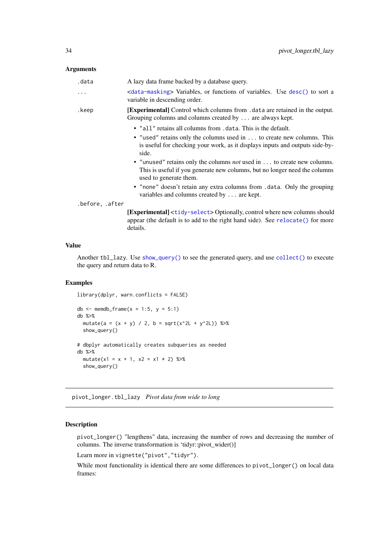## <span id="page-33-0"></span>Arguments

| .data           | A lazy data frame backed by a database query.                                                                                                                                          |
|-----------------|----------------------------------------------------------------------------------------------------------------------------------------------------------------------------------------|
| .               | <data-masking> Variables, or functions of variables. Use desc() to sort a<br/>variable in descending order.</data-masking>                                                             |
| .keep           | [Experimental] Control which columns from . data are retained in the output.<br>Grouping columns and columns created by  are always kept.                                              |
|                 | • "all" retains all columns from . data. This is the default.                                                                                                                          |
|                 | • "used" retains only the columns used in to create new columns. This<br>is useful for checking your work, as it displays inputs and outputs side-by-<br>side.                         |
|                 | • "unused" retains only the columns <i>not</i> used in  to create new columns.<br>This is useful if you generate new columns, but no longer need the columns<br>used to generate them. |
|                 | • "none" doesn't retain any extra columns from .data. Only the grouping<br>variables and columns created by  are kept.                                                                 |
| .before, .after |                                                                                                                                                                                        |
|                 | <b>Experimentall</b> $\lt t$ idy-select > Optionally control where new columns should                                                                                                  |

[Experimental] <[tidy-select](#page-0-0)> Optionally, control where new columns should appear (the default is to add to the right hand side). See [relocate\(\)](#page-0-0) for more details.

## Value

Another tbl\_lazy. Use [show\\_query\(\)](#page-0-0) to see the generated query, and use [collect\(\)](#page-12-1) to execute the query and return data to R.

## Examples

```
library(dplyr, warn.conflicts = FALSE)
db \le - memdb_frame(x = 1:5, y = 5:1)
db %>%
 mutate(a = (x + y) / 2, b = sqrt(x^2L + y^2L)) %>%
 show_query()
# dbplyr automatically creates subqueries as needed
db %>%
 mutate(x1 = x + 1, x2 = x1 * 2) %>%
  show_query()
```
pivot\_longer.tbl\_lazy *Pivot data from wide to long*

## Description

pivot\_longer() "lengthens" data, increasing the number of rows and decreasing the number of columns. The inverse transformation is 'tidyr::pivot\_wider()]

Learn more in vignette("pivot","tidyr").

While most functionality is identical there are some differences to pivot\_longer() on local data frames: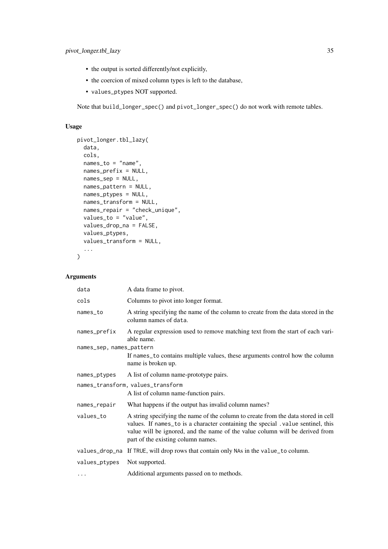- the output is sorted differently/not explicitly,
- the coercion of mixed column types is left to the database,
- values\_ptypes NOT supported.

Note that build\_longer\_spec() and pivot\_longer\_spec() do not work with remote tables.

## Usage

```
pivot_longer.tbl_lazy(
  data,
  cols,
  names_to = "name",
  names_prefix = NULL,
  names_sep = NULL,
  names_pattern = NULL,
  names_ptypes = NULL,
  names_transform = NULL,
  names_repair = "check_unique",
  values_to = "value",
  values_drop_na = FALSE,
  values_ptypes,
  values_transform = NULL,
  ...
)
```
## Arguments

| A data frame to pivot.                                                                                                                                                                                                                                                                     |
|--------------------------------------------------------------------------------------------------------------------------------------------------------------------------------------------------------------------------------------------------------------------------------------------|
| Columns to pivot into longer format.                                                                                                                                                                                                                                                       |
| A string specifying the name of the column to create from the data stored in the<br>column names of data.                                                                                                                                                                                  |
| A regular expression used to remove matching text from the start of each vari-<br>able name.                                                                                                                                                                                               |
| names_sep, names_pattern                                                                                                                                                                                                                                                                   |
| If names_to contains multiple values, these arguments control how the column<br>name is broken up.                                                                                                                                                                                         |
| A list of column name-prototype pairs.                                                                                                                                                                                                                                                     |
| names_transform, values_transform                                                                                                                                                                                                                                                          |
| A list of column name-function pairs.                                                                                                                                                                                                                                                      |
| What happens if the output has invalid column names?                                                                                                                                                                                                                                       |
| A string specifying the name of the column to create from the data stored in cell<br>values. If names_to is a character containing the special .value sentinel, this<br>value will be ignored, and the name of the value column will be derived from<br>part of the existing column names. |
| values_drop_na If TRUE, will drop rows that contain only NAs in the value_to column.                                                                                                                                                                                                       |
| Not supported.                                                                                                                                                                                                                                                                             |
| Additional arguments passed on to methods.                                                                                                                                                                                                                                                 |
|                                                                                                                                                                                                                                                                                            |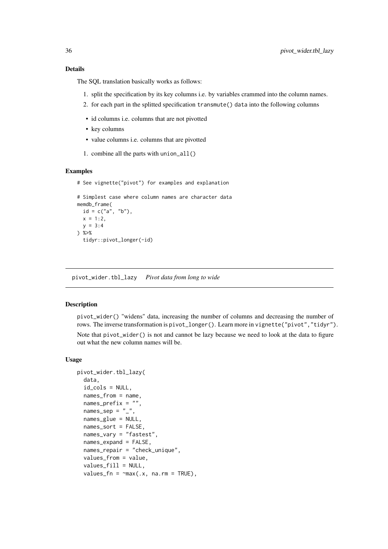#### <span id="page-35-0"></span>Details

The SQL translation basically works as follows:

- 1. split the specification by its key columns i.e. by variables crammed into the column names.
- 2. for each part in the splitted specification transmute() data into the following columns
- id columns i.e. columns that are not pivotted
- key columns
- value columns i.e. columns that are pivotted
- 1. combine all the parts with union\_all()

## Examples

# See vignette("pivot") for examples and explanation

```
# Simplest case where column names are character data
memdb_frame(
 id = c("a", "b"),
 x = 1:2,
 y = 3:4) %>%
  tidyr::pivot_longer(-id)
```
pivot\_wider.tbl\_lazy *Pivot data from long to wide*

## Description

pivot\_wider() "widens" data, increasing the number of columns and decreasing the number of rows. The inverse transformation is pivot\_longer(). Learn more in vignette("pivot","tidyr").

Note that pivot\_wider() is not and cannot be lazy because we need to look at the data to figure out what the new column names will be.

#### Usage

```
pivot_wider.tbl_lazy(
  data,
  id_cols = NULL,
  names_from = name,
  names_prefix = ",
  names_sep = "_",
  names_glue = NULL,
  names_sort = FALSE,
  names_vary = "fastest",
  names_expand = FALSE,
  names_repair = "check_unique",
  values_from = value,
  values_fill = NULL,
  values_fn = \text{max}(x, \text{na}.\text{rm} = \text{TRUE}),
```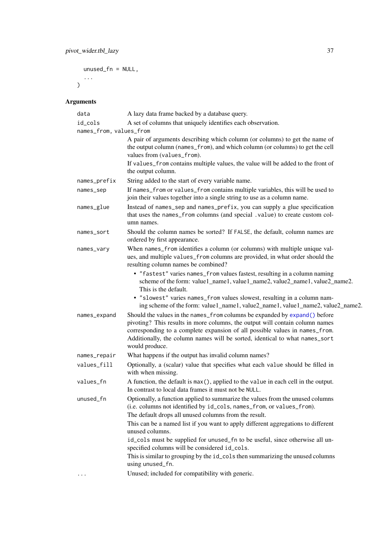```
unused_fn = NULL,
...
```
)

## Arguments

| data                    | A lazy data frame backed by a database query.                                                                                                                                                                                                                                                                                              |
|-------------------------|--------------------------------------------------------------------------------------------------------------------------------------------------------------------------------------------------------------------------------------------------------------------------------------------------------------------------------------------|
| id_cols                 | A set of columns that uniquely identifies each observation.                                                                                                                                                                                                                                                                                |
| names_from, values_from |                                                                                                                                                                                                                                                                                                                                            |
|                         | A pair of arguments describing which column (or columns) to get the name of<br>the output column (names_from), and which column (or columns) to get the cell<br>values from (values_from).                                                                                                                                                 |
|                         | If values_from contains multiple values, the value will be added to the front of<br>the output column.                                                                                                                                                                                                                                     |
| names_prefix            | String added to the start of every variable name.                                                                                                                                                                                                                                                                                          |
| names_sep               | If names_from or values_from contains multiple variables, this will be used to<br>join their values together into a single string to use as a column name.                                                                                                                                                                                 |
| names_glue              | Instead of names_sep and names_prefix, you can supply a glue specification<br>that uses the names_from columns (and special .value) to create custom col-<br>umn names.                                                                                                                                                                    |
| names_sort              | Should the column names be sorted? If FALSE, the default, column names are<br>ordered by first appearance.                                                                                                                                                                                                                                 |
| names_vary              | When names_from identifies a column (or columns) with multiple unique val-<br>ues, and multiple values_from columns are provided, in what order should the<br>resulting column names be combined?                                                                                                                                          |
|                         | • "fastest" varies names_from values fastest, resulting in a column naming<br>scheme of the form: value1_name1, value1_name2, value2_name1, value2_name2.<br>This is the default.                                                                                                                                                          |
|                         | · "slowest" varies names_from values slowest, resulting in a column nam-<br>ing scheme of the form: value1_name1, value2_name1, value1_name2, value2_name2.                                                                                                                                                                                |
| names_expand            | Should the values in the names_from columns be expanded by expand() before<br>pivoting? This results in more columns, the output will contain column names<br>corresponding to a complete expansion of all possible values in names_from.<br>Additionally, the column names will be sorted, identical to what names_sort<br>would produce. |
| names_repair            | What happens if the output has invalid column names?                                                                                                                                                                                                                                                                                       |
| values_fill             | Optionally, a (scalar) value that specifies what each value should be filled in<br>with when missing.                                                                                                                                                                                                                                      |
| values_fn               | A function, the default is max(), applied to the value in each cell in the output.<br>In contrast to local data frames it must not be NULL.                                                                                                                                                                                                |
| unused_fn               | Optionally, a function applied to summarize the values from the unused columns<br>(i.e. columns not identified by id_cols, names_from, or values_from).<br>The default drops all unused columns from the result.<br>This can be a named list if you want to apply different aggregations to different                                      |
|                         | unused columns.                                                                                                                                                                                                                                                                                                                            |
|                         | id_cols must be supplied for unused_fn to be useful, since otherwise all un-<br>specified columns will be considered id_cols.                                                                                                                                                                                                              |
|                         | This is similar to grouping by the id_cols then summarizing the unused columns<br>using unused_fn.                                                                                                                                                                                                                                         |
|                         | Unused; included for compatibility with generic.                                                                                                                                                                                                                                                                                           |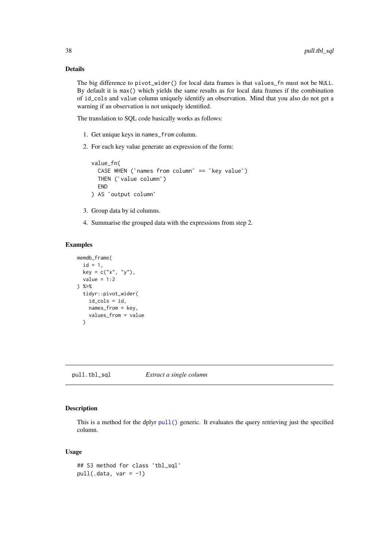## Details

The big difference to pivot\_wider() for local data frames is that values\_fn must not be NULL. By default it is max() which yields the same results as for local data frames if the combination of id\_cols and value column uniquely identify an observation. Mind that you also do not get a warning if an observation is not uniquely identified.

The translation to SQL code basically works as follows:

- 1. Get unique keys in names\_from column.
- 2. For each key value generate an expression of the form:

```
value_fn(
     reach key value generate an expression of the form:<br>lue_fn(<br>CASE WHEN (`names from column` == `key value`)
     lue_fn(<br>CASE WHEN (`names fro<br>THEN (`value column`)
    END
THEN (`value column`)<br>END<br>) AS `output column`
```
- 3. Group data by id columns.
- 4. Summarise the grouped data with the expressions from step 2.

#### Examples

```
memdb_frame(
  id = 1,
  key = c("x", "y"),
  value = 1:2) %>%
  tidyr::pivot_wider(
    id_cols = id,
    names_from = key,
    values_from = value
  \lambda
```
pull.tbl\_sql *Extract a single column*

#### Description

This is a method for the dplyr [pull\(\)](#page-0-0) generic. It evaluates the query retrieving just the specified column.

#### Usage

```
## S3 method for class 'tbl_sql'
pull(.data, var = -1)
```
<span id="page-37-0"></span>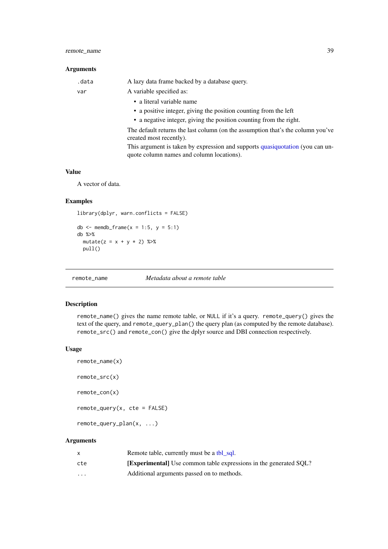## <span id="page-38-0"></span>remote\_name 39

## Arguments

| .data | A lazy data frame backed by a database query.                                                                              |
|-------|----------------------------------------------------------------------------------------------------------------------------|
| var   | A variable specified as:                                                                                                   |
|       | • a literal variable name                                                                                                  |
|       | • a positive integer, giving the position counting from the left                                                           |
|       | • a negative integer, giving the position counting from the right.                                                         |
|       | The default returns the last column (on the assumption that's the column you've<br>created most recently).                 |
|       | This argument is taken by expression and supports quasiquotation (you can un-<br>quote column names and column locations). |

#### Value

A vector of data.

#### Examples

```
library(dplyr, warn.conflicts = FALSE)
```

```
db \le - memdb_frame(x = 1:5, y = 5:1)
db %>%
 mutate(z = x + y * 2) %pull()
```
<span id="page-38-1"></span>remote\_name *Metadata about a remote table*

#### Description

remote\_name() gives the name remote table, or NULL if it's a query. remote\_query() gives the text of the query, and remote\_query\_plan() the query plan (as computed by the remote database). remote\_src() and remote\_con() give the dplyr source and DBI connection respectively.

#### Usage

```
remote_name(x)
remote_src(x)
remote_con(x)
remote\_query(x, cte = FALSE)remote_query_plan(x, ...)
```
## Arguments

|          | Remote table, currently must be a tbl sql.                             |
|----------|------------------------------------------------------------------------|
| cte      | <b>Experimental</b> Use common table expressions in the generated SOL? |
| $\cdots$ | Additional arguments passed on to methods.                             |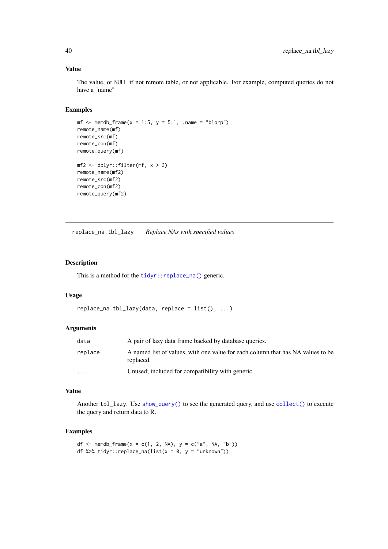## Value

The value, or NULL if not remote table, or not applicable. For example, computed queries do not have a "name"

## Examples

```
mf \le memdb_frame(x = 1:5, y = 5:1, .name = "blorp")
remote_name(mf)
remote_src(mf)
remote_con(mf)
remote_query(mf)
mf2 <- dplyr::filter(mf, x > 3)
remote_name(mf2)
remote_src(mf2)
remote_con(mf2)
remote_query(mf2)
```
replace\_na.tbl\_lazy *Replace NAs with specified values*

## Description

This is a method for the [tidyr::replace\\_na\(\)](#page-0-0) generic.

## Usage

```
replace_na.thl_lazy(data, replace = list(), ...)
```
#### Arguments

| data     | A pair of lazy data frame backed by database queries.                                        |
|----------|----------------------------------------------------------------------------------------------|
| replace  | A named list of values, with one value for each column that has NA values to be<br>replaced. |
| $\cdots$ | Unused; included for compatibility with generic.                                             |

## Value

Another tbl\_lazy. Use [show\\_query\(\)](#page-0-0) to see the generated query, and use [collect\(\)](#page-12-1) to execute the query and return data to R.

```
df <- memdb_frame(x = c(1, 2, NA), y = c("a", NA, "b"))
df %>% tidyr::replace_na(list(x = 0, y = "unknown"))
```
<span id="page-39-0"></span>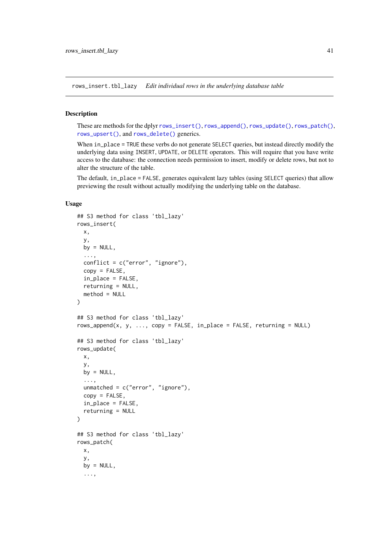<span id="page-40-0"></span>rows\_insert.tbl\_lazy *Edit individual rows in the underlying database table*

## Description

These are methods for the dplyr [rows\\_insert\(\)](#page-0-0), [rows\\_append\(\)](#page-0-0), [rows\\_update\(\)](#page-0-0), [rows\\_patch\(\)](#page-0-0), [rows\\_upsert\(\)](#page-0-0), and [rows\\_delete\(\)](#page-0-0) generics.

When in\_place = TRUE these verbs do not generate SELECT queries, but instead directly modify the underlying data using INSERT, UPDATE, or DELETE operators. This will require that you have write access to the database: the connection needs permission to insert, modify or delete rows, but not to alter the structure of the table.

The default, in\_place = FALSE, generates equivalent lazy tables (using SELECT queries) that allow previewing the result without actually modifying the underlying table on the database.

## Usage

```
## S3 method for class 'tbl_lazy'
rows_insert(
  x,
  y,
  by = NULL,...,
  conflict = c("error", "ignore"),copy = FALSE,
  in_place = FALSE,
  returning = NULL,
  method = NULL
\lambda## S3 method for class 'tbl_lazy'
rows_append(x, y, ..., copy = FALSE, in_place = FALSE, returning = NULL)
## S3 method for class 'tbl_lazy'
rows_update(
  x,
  y,
  by = NULL,
  ...,
  unmatched = c("error", "ignore"),copy = FALSE,
  in_place = FALSE,
  returning = NULL
\lambda## S3 method for class 'tbl_lazy'
rows_patch(
  x,
  y,
  by = NULL,
  ...,
```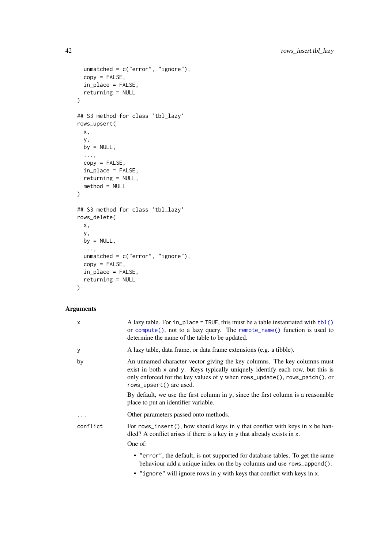```
unmatched = c("error", "ignore"),
  copy = FALSE,
  in_place = FALSE,
 returning = NULL
)
## S3 method for class 'tbl_lazy'
rows_upsert(
  x,
  y,
 by = NULL,...,
  copy = FALSE,in_place = FALSE,
 returning = NULL,
 method = NULL
)
## S3 method for class 'tbl_lazy'
rows_delete(
  x,
  y,
  by = NULL,
  ...,
  unmatched = c("error", "ignore"),
  copy = FALSE,
  in_place = FALSE,
  returning = NULL
\lambda
```
## Arguments

| X        | A lazy table. For in_place = TRUE, this must be a table instantiated with $\text{tbl}()$<br>or compute(), not to a lazy query. The remote_name() function is used to<br>determine the name of the table to be updated.                                             |
|----------|--------------------------------------------------------------------------------------------------------------------------------------------------------------------------------------------------------------------------------------------------------------------|
| у        | A lazy table, data frame, or data frame extensions (e.g. a tibble).                                                                                                                                                                                                |
| by       | An unnamed character vector giving the key columns. The key columns must<br>exist in both x and y. Keys typically uniquely identify each row, but this is<br>only enforced for the key values of y when rows_update(), rows_patch(), or<br>rows_upsert() are used. |
|          | By default, we use the first column in y, since the first column is a reasonable<br>place to put an identifier variable.                                                                                                                                           |
| $\cdots$ | Other parameters passed onto methods.                                                                                                                                                                                                                              |
| conflict | For rows_insert(), how should keys in y that conflict with keys in $x$ be han-<br>dled? A conflict arises if there is a key in y that already exists in x.                                                                                                         |
|          | One of:                                                                                                                                                                                                                                                            |
|          | • "error", the default, is not supported for database tables. To get the same<br>behaviour add a unique index on the by columns and use rows_append().<br>المائل والمستحير المتحدث والمتحدث والمتحدث والمتحدث والمتحدث والمستحدث والمستحدث والمستحدث والمستحدث     |

• "ignore" will ignore rows in y with keys that conflict with keys in x.

<span id="page-41-0"></span>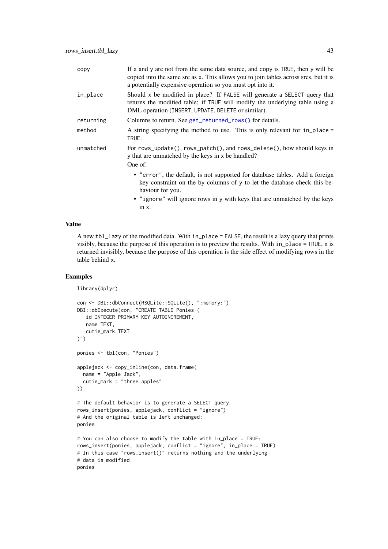<span id="page-42-0"></span>

| copy      | If $x$ and $y$ are not from the same data source, and copy is TRUE, then $y$ will be<br>copied into the same src as x. This allows you to join tables across srcs, but it is<br>a potentially expensive operation so you must opt into it. |
|-----------|--------------------------------------------------------------------------------------------------------------------------------------------------------------------------------------------------------------------------------------------|
| in_place  | Should x be modified in place? If FALSE will generate a SELECT query that<br>returns the modified table; if TRUE will modify the underlying table using a<br>DML operation (INSERT, UPDATE, DELETE or similar).                            |
| returning | Columns to return. See get_returned_rows() for details.                                                                                                                                                                                    |
| method    | A string specifying the method to use. This is only relevant for in_place =<br>TRUE.                                                                                                                                                       |
| unmatched | For rows_update(), rows_patch(), and rows_delete(), how should keys in<br>y that are unmatched by the keys in x be handled?                                                                                                                |
|           | One of:                                                                                                                                                                                                                                    |
|           | • "error", the default, is not supported for database tables. Add a foreign<br>key constraint on the by columns of y to let the database check this be-<br>haviour for you.                                                                |
|           | • "ignore" will ignore rows in y with keys that are unmatched by the keys                                                                                                                                                                  |

#### Value

A new tbl\_lazy of the modified data. With in\_place = FALSE, the result is a lazy query that prints visibly, because the purpose of this operation is to preview the results. With in\_place = TRUE, x is returned invisibly, because the purpose of this operation is the side effect of modifying rows in the table behind x.

#### Examples

```
library(dplyr)
con <- DBI::dbConnect(RSQLite::SQLite(), ":memory:")
DBI::dbExecute(con, "CREATE TABLE Ponies (
   id INTEGER PRIMARY KEY AUTOINCREMENT,
   name TEXT,
   cutie_mark TEXT
)")
ponies <- tbl(con, "Ponies")
applejack <- copy_inline(con, data.frame(
  name = "Apple Jack",
  cutie_mark = "three apples"
))
# The default behavior is to generate a SELECT query
rows_insert(ponies, applejack, conflict = "ignore")
# And the original table is left unchanged:
ponies
# You can also choose to modify the table with in_place = TRUE:
rows_insert(ponies, applejack, conflict = "ignore", in_place = TRUE)
# In this case `rows_insert()` returns nothing and the underlying
# data is modified
ponies
```
in x.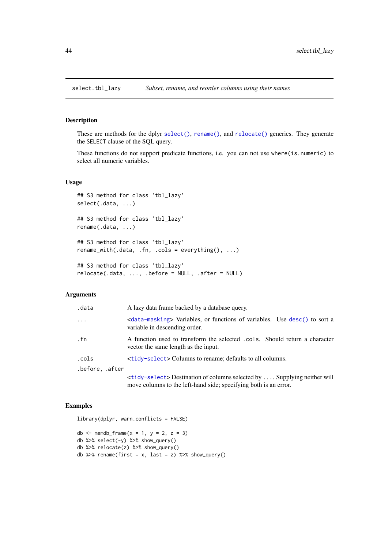<span id="page-43-0"></span>

## Description

These are methods for the dplyr [select\(\)](#page-0-0), [rename\(\)](#page-0-0), and [relocate\(\)](#page-0-0) generics. They generate the SELECT clause of the SQL query.

These functions do not support predicate functions, i.e. you can not use where(is.numeric) to select all numeric variables.

## Usage

```
## S3 method for class 'tbl_lazy'
select(.data, ...)
## S3 method for class 'tbl_lazy'
rename(.data, ...)
## S3 method for class 'tbl_lazy'
rename_with(.data, .fn, .cols = everything(), ...)
## S3 method for class 'tbl_lazy'
relocate(.data, ..., .before = NULL, .after = NULL)
```
#### Arguments

| .data           | A lazy data frame backed by a database query.                                                                              |
|-----------------|----------------------------------------------------------------------------------------------------------------------------|
| $\cdots$        | <data-masking> Variables, or functions of variables. Use desc() to sort a<br/>variable in descending order.</data-masking> |
| . fn            | A function used to transform the selected .cols. Should return a character<br>vector the same length as the input.         |
| .cols           | <tidy-select> Columns to rename; defaults to all columns.</tidy-select>                                                    |
| .before, .after |                                                                                                                            |
|                 | <tidy-select>Destination of columns selected by  Supplying neither will</tidy-select>                                      |

move columns to the left-hand side; specifying both is an error.

```
library(dplyr, warn.conflicts = FALSE)
db \le - memdb_frame(x = 1, y = 2, z = 3)
db %>% select(-y) %>% show_query()
db %>% relocate(z) %>% show_query()
db %\gg% rename(first = x, last = z) %\gg% show_query()
```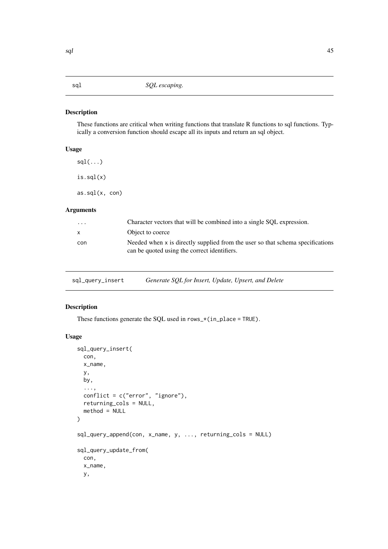<span id="page-44-1"></span><span id="page-44-0"></span>

## Description

These functions are critical when writing functions that translate R functions to sql functions. Typically a conversion function should escape all its inputs and return an sql object.

## Usage

 $sdl(...)$ is.sql(x) as.sql(x, con)

## Arguments

| $\cdots$     | Character vectors that will be combined into a single SOL expression.                                                          |
|--------------|--------------------------------------------------------------------------------------------------------------------------------|
| $\mathsf{x}$ | Object to coerce                                                                                                               |
| con          | Needed when x is directly supplied from the user so that schema specifications<br>can be quoted using the correct identifiers. |

sql\_query\_insert *Generate SQL for Insert, Update, Upsert, and Delete*

## Description

These functions generate the SQL used in  $rows_*$  (in\_place = TRUE).

## Usage

```
sql_query_insert(
  con,
  x_name,
  y,
  by,
  ...,
  conflict = c("error", "ignore"),
  returning_cols = NULL,
  method = NULL\lambdasql_query_append(con, x_name, y, ..., returning_cols = NULL)
sql_query_update_from(
  con,
  x_name,
  y,
```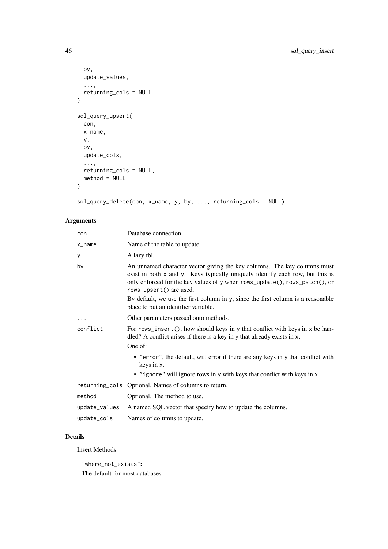```
by,
  update_values,
  ...,
  returning_cols = NULL
)
sql_query_upsert(
  con,
  x_name,
  y,
  by,
  update_cols,
  ...,
  returning_cols = NULL,
  method = NULL
\lambda
```
sql\_query\_delete(con, x\_name, y, by, ..., returning\_cols = NULL)

## Arguments

| con           | Database connection.                                                                                                                                                                                                                                               |
|---------------|--------------------------------------------------------------------------------------------------------------------------------------------------------------------------------------------------------------------------------------------------------------------|
| x_name        | Name of the table to update.                                                                                                                                                                                                                                       |
| у             | A lazy tbl.                                                                                                                                                                                                                                                        |
| by            | An unnamed character vector giving the key columns. The key columns must<br>exist in both x and y. Keys typically uniquely identify each row, but this is<br>only enforced for the key values of y when rows_update(), rows_patch(), or<br>rows_upsert() are used. |
|               | By default, we use the first column in y, since the first column is a reasonable<br>place to put an identifier variable.                                                                                                                                           |
| $\ddotsc$     | Other parameters passed onto methods.                                                                                                                                                                                                                              |
| conflict      | For rows_insert(), how should keys in y that conflict with keys in $x$ be han-<br>dled? A conflict arises if there is a key in y that already exists in x.<br>One of:                                                                                              |
|               | • "error", the default, will error if there are any keys in y that conflict with<br>keys in x.<br>• "ignore" will ignore rows in y with keys that conflict with keys in x.                                                                                         |
|               | returning_cols Optional. Names of columns to return.                                                                                                                                                                                                               |
| method        | Optional. The method to use.                                                                                                                                                                                                                                       |
| update_values | A named SQL vector that specify how to update the columns.                                                                                                                                                                                                         |
| update_cols   | Names of columns to update.                                                                                                                                                                                                                                        |

## Details

Insert Methods

"where\_not\_exists":

The default for most databases.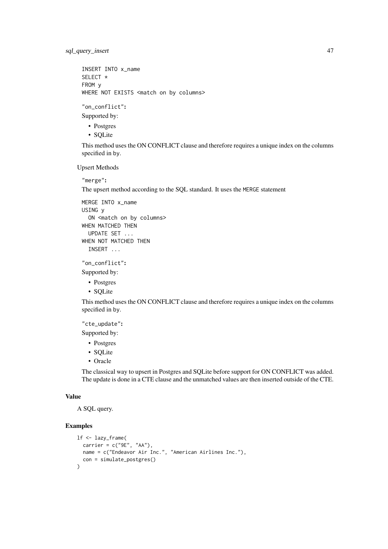sql\_query\_insert 47

```
INSERT INTO x_name
SELECT *
FROM y
WHERE NOT EXISTS <match on by columns>
```
"on\_conflict":

Supported by:

- Postgres
- SQLite

This method uses the ON CONFLICT clause and therefore requires a unique index on the columns specified in by.

Upsert Methods

"merge":

The upsert method according to the SQL standard. It uses the MERGE statement

```
MERGE INTO x_name
USING y
  ON <match on by columns>
WHEN MATCHED THEN
 UPDATE SET ...
WHEN NOT MATCHED THEN
  INSERT ...
```
"on\_conflict":

Supported by:

- Postgres
- SQLite

This method uses the ON CONFLICT clause and therefore requires a unique index on the columns specified in by.

"cte\_update":

Supported by:

- Postgres
- SQLite
- Oracle

The classical way to upsert in Postgres and SQLite before support for ON CONFLICT was added. The update is done in a CTE clause and the unmatched values are then inserted outside of the CTE.

#### Value

A SQL query.

```
lf <- lazy_frame(
  carrier = c("9E", "AA"),
  name = c("Endeavor Air Inc.", "American Airlines Inc."),
  con = simulate_postgres()
)
```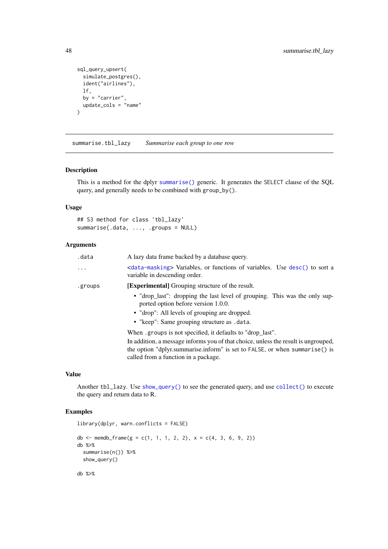```
sql_query_upsert(
  simulate_postgres(),
  ident("airlines"),
 lf,
 by = "carrier",
 update\_cols = "name"\lambda
```
<span id="page-47-1"></span>summarise.tbl\_lazy *Summarise each group to one row*

## Description

This is a method for the dplyr [summarise\(\)](#page-0-0) generic. It generates the SELECT clause of the SQL query, and generally needs to be combined with group\_by().

## Usage

```
## S3 method for class 'tbl_lazy'
summarise(.data, ..., .groups = NULL)
```
#### Arguments

| .data   | A lazy data frame backed by a database query.                                                                              |
|---------|----------------------------------------------------------------------------------------------------------------------------|
| .       | <data-masking> Variables, or functions of variables. Use desc() to sort a<br/>variable in descending order.</data-masking> |
| .groups | <b>[Experimental]</b> Grouping structure of the result.                                                                    |
|         | • "drop_last": dropping the last level of grouping. This was the only sup-<br>ported option before version 1.0.0.          |
|         | • "drop": All levels of grouping are dropped.                                                                              |
|         | • "keep": Same grouping structure as .data.                                                                                |
|         | When groups is not specified, it defaults to "drop last".                                                                  |
|         | In addition, a message informs you of that choice, unless the result is ungrouped,                                         |
|         | the option "dplyr.summarise.inform" is set to FALSE, or when summarise() is                                                |
|         | called from a function in a package.                                                                                       |

## Value

Another tbl\_lazy. Use [show\\_query\(\)](#page-0-0) to see the generated query, and use [collect\(\)](#page-12-1) to execute the query and return data to R.

```
library(dplyr, warn.conflicts = FALSE)
db <- memdb_frame(g = c(1, 1, 1, 2, 2), x = c(4, 3, 6, 9, 2))
db %>%
  summarise(n()) %>%
  show_query()
db %>%
```
<span id="page-47-0"></span>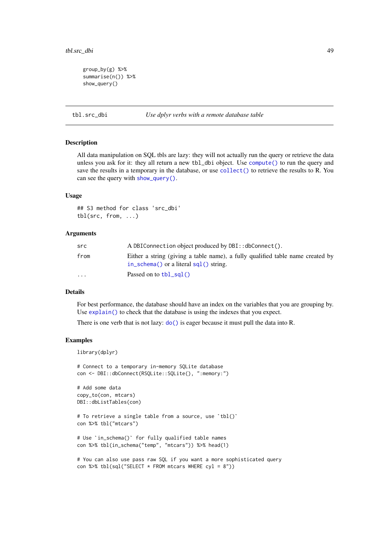```
group_by(g) %>%
summarise(n()) %>%
show_query()
```
tbl.src\_dbi *Use dplyr verbs with a remote database table*

#### **Description**

All data manipulation on SQL tbls are lazy: they will not actually run the query or retrieve the data unless you ask for it: they all return a new tbl\_dbi object. Use [compute\(\)](#page-0-0) to run the query and save the results in a temporary in the database, or use [collect\(\)](#page-0-0) to retrieve the results to R. You can see the query with [show\\_query\(\)](#page-0-0).

## Usage

## S3 method for class 'src\_dbi' tbl(src, from, ...)

#### Arguments

| src      | A DBIConnection object produced by DBI:: dbConnect().                                                                                           |  |
|----------|-------------------------------------------------------------------------------------------------------------------------------------------------|--|
| from     | Either a string (giving a table name), a fully qualified table name created by<br>in $\mathsf{schema}()$ or a literal $\mathsf{sal}(()$ string. |  |
| $\cdots$ | Passed on to $\text{tbl\_sal}()$                                                                                                                |  |

## Details

For best performance, the database should have an index on the variables that you are grouping by. Use [explain\(\)](#page-0-0) to check that the database is using the indexes that you expect.

There is one verb that is not lazy:  $do()$  is eager because it must pull the data into R.

#### Examples

library(dplyr)

```
# Connect to a temporary in-memory SQLite database
con <- DBI::dbConnect(RSQLite::SQLite(), ":memory:")
```

```
# Add some data
copy_to(con, mtcars)
DBI::dbListTables(con)
```

```
# To retrieve a single table from a source, use `tbl()`
con %>% tbl("mtcars")
```

```
# Use `in_schema()` for fully qualified table names
con %>% tbl(in_schema("temp", "mtcars")) %>% head(1)
```

```
# You can also use pass raw SQL if you want a more sophisticated query
con %>% tbl(sql("SELECT * FROM mtcars WHERE cyl = 8"))
```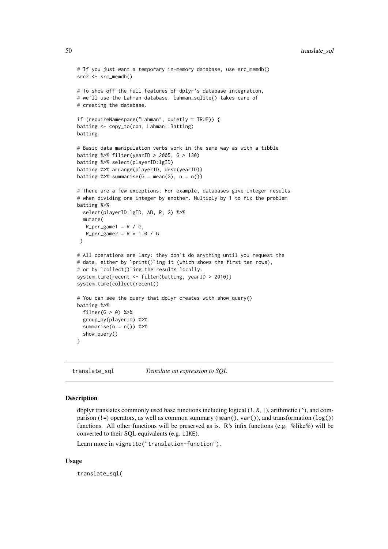```
# If you just want a temporary in-memory database, use src_memdb()
src2 \leq src\_memdb()# To show off the full features of dplyr's database integration,
# we'll use the Lahman database. lahman_sqlite() takes care of
# creating the database.
if (requireNamespace("Lahman", quietly = TRUE)) {
batting <- copy_to(con, Lahman::Batting)
batting
# Basic data manipulation verbs work in the same way as with a tibble
batting %>% filter(yearID > 2005, G > 130)
batting %>% select(playerID:lgID)
batting %>% arrange(playerID, desc(yearID))
batting %\gg% summarise(G = mean(G), n = n())
# There are a few exceptions. For example, databases give integer results
# when dividing one integer by another. Multiply by 1 to fix the problem
batting %>%
  select(playerID:lgID, AB, R, G) %>%
  mutate(
   R_{per\_game1} = R / G,
   R_{per\_game2} = R * 1.0 / G)
# All operations are lazy: they don't do anything until you request the
)<br># All operations are lazy: they don't do anything until you request<br># data, either by `print()`ing it (which shows the first ten rows),
# All operations are lazy: they don't do an<br># data, either by `print()`ing it (which sh<br># or by `collect()`ing the results locally.
system.time(recent <- filter(batting, yearID > 2010))
system.time(collect(recent))
# You can see the query that dplyr creates with show_query()
batting %>%
  filter(G > 0) %>%
  group_by(playerID) %>%
  summarise(n = n()) %>%
  show_query()
\lambda
```
translate\_sql *Translate an expression to SQL*

#### Description

dbplyr translates commonly used base functions including logical  $(1, 8, 1)$ , arithmetic  $(^{\wedge})$ , and comparison (!=) operators, as well as common summary (mean(), var()), and transformation ( $log()$ ) functions. All other functions will be preserved as is. R's infix functions (e.g. %like%) will be converted to their SQL equivalents (e.g. LIKE).

Learn more in vignette("translation-function").

## Usage

translate\_sql(

<span id="page-49-0"></span>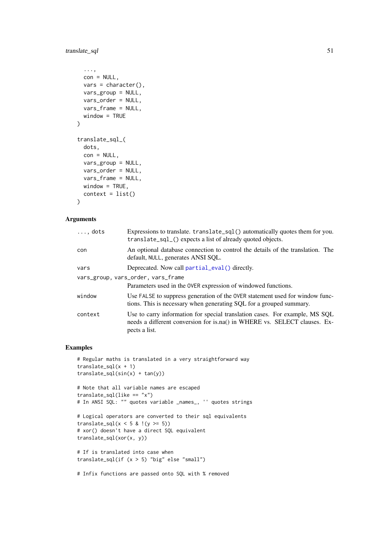## <span id="page-50-0"></span>translate\_sql 51

```
...,
  con = NULL,vars = character(),
  vars_group = NULL,
  vars_order = NULL,
  vars_frame = NULL,
  window = TRUE
\lambdatranslate_sql_(
  dots,
  con = NULL,vars_group = NULL,
  vars_order = NULL,
  vars_frame = NULL,
  window = TRUE,context = list()\lambda
```
#### Arguments

| $\ldots$ , dots | Expressions to translate. translate_sql() automatically quotes them for you.<br>translate_sql_() expects a list of already quoted objects.                                |  |
|-----------------|---------------------------------------------------------------------------------------------------------------------------------------------------------------------------|--|
| con             | An optional database connection to control the details of the translation. The<br>default, NULL, generates ANSI SQL.                                                      |  |
| vars            | Deprecated. Now call partial_eval() directly.                                                                                                                             |  |
|                 | vars_group, vars_order, vars_frame                                                                                                                                        |  |
|                 | Parameters used in the OVER expression of windowed functions.                                                                                                             |  |
| window          | Use FALSE to suppress generation of the OVER statement used for window func-<br>tions. This is necessary when generating SQL for a grouped summary.                       |  |
| context         | Use to carry information for special translation cases. For example, MS SQL<br>needs a different conversion for is.na() in WHERE vs. SELECT clauses. Ex-<br>pects a list. |  |

```
# Regular maths is translated in a very straightforward way
translate_sql(x + 1)translate_sql(sin(x) + tan(y))# Note that all variable names are escaped
translate_sql(like == "x")
# In ANSI SQL: "" quotes variable _names_, '' quotes strings
# Logical operators are converted to their sql equivalents
translate_sql(x < 5 & !(y >= 5))
# xor() doesn't have a direct SQL equivalent
translate_sql(xor(x, y))
# If is translated into case when
translate_sql(if (x > 5) "big" else "small")
```

```
# Infix functions are passed onto SQL with % removed
```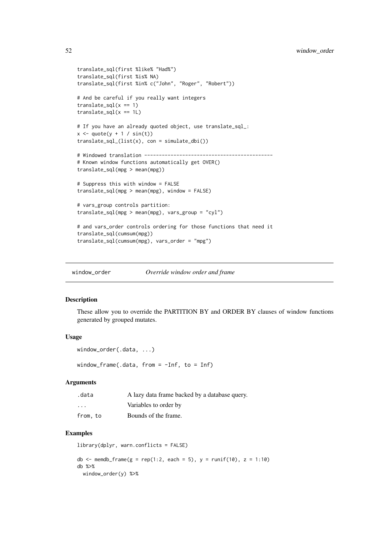```
translate_sql(first %like% "Had%")
translate_sql(first %is% NA)
translate_sql(first %in% c("John", "Roger", "Robert"))
# And be careful if you really want integers
translate_sql(x == 1)translate_sql(x == 1L)# If you have an already quoted object, use translate_sql_:
x \le - quote(y + 1 / sin(t))
translate_sql_{(list(x), con = simulate_dbi())}# Windowed translation --------------------------------------------
# Known window functions automatically get OVER()
translate_sql(mpg > mean(mpg))
# Suppress this with window = FALSE
translate_sql(mpg > mean(mpg), window = FALSE)
# vars_group controls partition:
translate_sql(mpg > mean(mpg), vars_group = "cyl")
# and vars_order controls ordering for those functions that need it
translate_sql(cumsum(mpg))
translate_sql(cumsum(mpg), vars_order = "mpg")
```
<span id="page-51-1"></span>window\_order *Override window order and frame*

#### Description

These allow you to override the PARTITION BY and ORDER BY clauses of window functions generated by grouped mutates.

#### Usage

```
window_order(.data, ...)
```
window\_frame(.data, from =  $-Inf$ , to =  $Inf$ )

## Arguments

| .data                   | A lazy data frame backed by a database query. |
|-------------------------|-----------------------------------------------|
| $\cdot$ $\cdot$ $\cdot$ | Variables to order by                         |
| from, to                | Bounds of the frame.                          |

```
library(dplyr, warn.conflicts = FALSE)
db \le memdb_frame(g = rep(1:2, each = 5), y = runif(10), z = 1:10)
db %>%
  window_order(y) %>%
```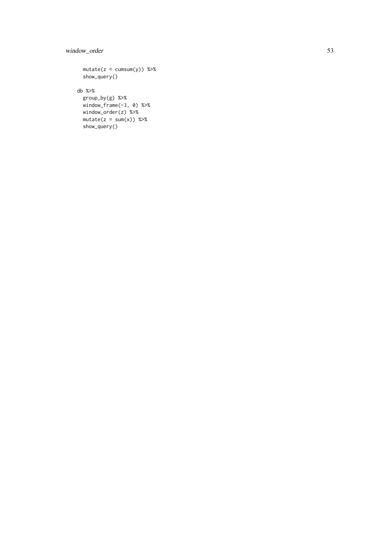## window\_order 53

```
mutate(z = cumsum(y)) %show_query()
db %>%
 group_by(g) %>%
  window_frame(-3, 0) %>%
  window_order(z) %>%
 mutate(z = sum(x)) %show_query()
```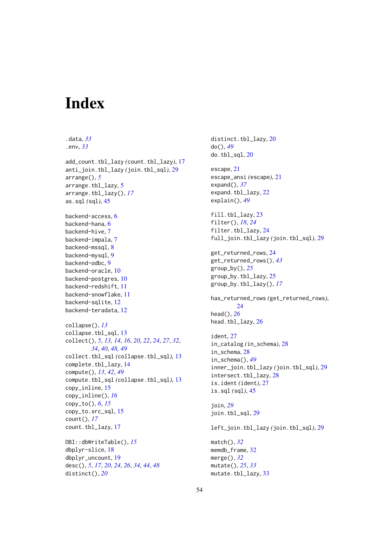# <span id="page-53-0"></span>Index

.data, *[33](#page-32-0)* .env, *[33](#page-32-0)* add\_count.tbl\_lazy *(*count.tbl\_lazy*)*, [17](#page-16-0) anti\_join.tbl\_lazy *(*join.tbl\_sql*)*, [29](#page-28-0) arrange(), *[5](#page-4-0)* arrange.tbl\_lazy, [5](#page-4-0) arrange.tbl\_lazy(), *[17](#page-16-0)* as.sql *(*sql*)*, [45](#page-44-0) backend-access, [6](#page-5-0) backend-hana, [6](#page-5-0) backend-hive, [7](#page-6-0) backend-impala, [7](#page-6-0) backend-mssql, [8](#page-7-0) backend-mysql, [9](#page-8-0) backend-odbc, [9](#page-8-0) backend-oracle, [10](#page-9-0) backend-postgres, [10](#page-9-0) backend-redshift, [11](#page-10-0) backend-snowflake, [11](#page-10-0) backend-sqlite, [12](#page-11-0) backend-teradata, [12](#page-11-0) collapse(), *[13](#page-12-0)* collapse.tbl sql, [13](#page-12-0) collect(), *[5](#page-4-0)*, *[13,](#page-12-0) [14](#page-13-0)*, *[16](#page-15-0)*, *[20](#page-19-0)*, *[22](#page-21-0)*, *[24](#page-23-0)*, *[27](#page-26-0)*, *[32](#page-31-0)*, *[34](#page-33-0)*, *[40](#page-39-0)*, *[48,](#page-47-0) [49](#page-48-0)* collect.tbl\_sql *(*collapse.tbl\_sql*)*, [13](#page-12-0) complete.tbl\_lazy, [14](#page-13-0) compute(), *[13](#page-12-0)*, *[42](#page-41-0)*, *[49](#page-48-0)* compute.tbl\_sql *(*collapse.tbl\_sql*)*, [13](#page-12-0) copy\_inline, [15](#page-14-0) copy\_inline(), *[16](#page-15-0)* copy\_to(), *[6](#page-5-0)*, *[15](#page-14-0)* copy\_to.src\_sql, [15](#page-14-0) count(), *[17](#page-16-0)* count.tbl\_lazy, [17](#page-16-0) DBI::dbWriteTable(), *[15](#page-14-0)* dbplyr-slice, [18](#page-17-0)

dbplyr\_uncount, [19](#page-18-0) desc(), *[5](#page-4-0)*, *[17](#page-16-0)*, *[20](#page-19-0)*, *[24](#page-23-0)*, *[26](#page-25-0)*, *[34](#page-33-0)*, *[44](#page-43-0)*, *[48](#page-47-0)* distinct(), *[20](#page-19-0)*

distinct.tbl\_lazy, [20](#page-19-0) do(), *[49](#page-48-0)* do.tbl\_sql, [20](#page-19-0) escape, [21](#page-20-0) escape\_ansi *(*escape*)*, [21](#page-20-0) expand(), *[37](#page-36-0)* expand.tbl\_lazy, [22](#page-21-0) explain(), *[49](#page-48-0)* fill.tbl\_lazy, [23](#page-22-0) filter(), *[18](#page-17-0)*, *[24](#page-23-0)* filter.tbl\_lazy, [24](#page-23-0) full\_join.tbl\_lazy *(*join.tbl\_sql*)*, [29](#page-28-0) get\_returned\_rows, [24](#page-23-0) get\_returned\_rows(), *[43](#page-42-0)* group\_by(), *[25](#page-24-0)* group\_by.tbl\_lazy, [25](#page-24-0) group\_by.tbl\_lazy(), *[17](#page-16-0)* has\_returned\_rows *(*get\_returned\_rows*)*, [24](#page-23-0) head(), *[26](#page-25-0)* head.tbl\_lazy, [26](#page-25-0) ident, [27](#page-26-0) in\_catalog *(*in\_schema*)*, [28](#page-27-0) in\_schema, [28](#page-27-0) in\_schema(), *[49](#page-48-0)* inner\_join.tbl\_lazy *(*join.tbl\_sql*)*, [29](#page-28-0) intersect.tbl\_lazy, [28](#page-27-0) is.ident *(*ident*)*, [27](#page-26-0) is.sql *(*sql*)*, [45](#page-44-0) join, *[29](#page-28-0)* join.tbl\_sql, [29](#page-28-0) left\_join.tbl\_lazy *(*join.tbl\_sql*)*, [29](#page-28-0) match(), *[32](#page-31-0)* memdb\_frame, [32](#page-31-0) merge(), *[32](#page-31-0)* mutate(), *[25](#page-24-0)*, *[33](#page-32-0)* mutate.tbl\_lazy, [33](#page-32-0)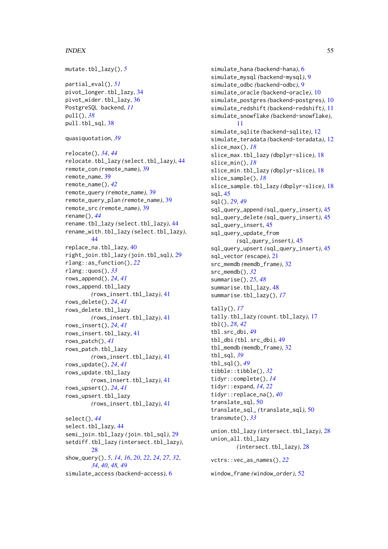#### INDEX 55

```
mutate.tbl_lazy(), 5
partial eval(), 51pivot_longer.tbl_lazy, 34
pivot_wider.tbl_lazy, 36
PostgreSQL backend, 11
pull(), 38
pull.tbl_sql, 38
quasiquotation, 39
relocate(), 34, 44
relocate.tbl_lazy (select.tbl_lazy), 44
remote_con (remote_name), 39
remote_name, 39
remote_name(), 42
remote_query (remote_name), 39
remote_query_plan (remote_name), 39
remote_src (remote_name), 39
rename(), 44
rename.tbl_lazy (select.tbl_lazy), 44
rename_with.tbl_lazy (select.tbl_lazy),
        44
replace_na.tbl_lazy, 40
right_join.tbl_lazy (join.tbl_sql), 29
rlang::as_function(), 22
rlang::quos(), 33
rows_append(), 24, 41
rows_append.tbl_lazy
        (rows_insert.tbl_lazy), 41
rows_delete(), 24, 41
rows_delete.tbl_lazy
        (rows_insert.tbl_lazy), 41
rows_insert(), 24, 41
rows_insert.tbl_lazy, 41
rows_patch(), 41
rows_patch.tbl_lazy
        (rows_insert.tbl_lazy), 41
rows_update(), 24, 41
rows_update.tbl_lazy
        (rows_insert.tbl_lazy), 41
rows_upsert(), 24, 41
rows_upsert.tbl_lazy
        (rows_insert.tbl_lazy), 41
select(), 44
select.tbl_lazy, 44
semi_join.tbl_lazy (join.tbl_sql), 29
setdiff.tbl_lazy (intersect.tbl_lazy),
        28
show_query(), 5, 14, 16, 20, 22, 24, 27, 32,
        34, 40, 48, 49
simulate_access (backend-access), 6
```
simulate\_hana *(*backend-hana*)*, [6](#page-5-0) simulate\_mysql *(*backend-mysql*)*, [9](#page-8-0) simulate\_odbc *(*backend-odbc*)*, [9](#page-8-0) simulate\_oracle *(*backend-oracle*)*, [10](#page-9-0) simulate\_postgres *(*backend-postgres*)*, [10](#page-9-0) simulate\_redshift *(*backend-redshift*)*, [11](#page-10-0) simulate\_snowflake *(*backend-snowflake*)*, [11](#page-10-0) simulate\_sqlite *(*backend-sqlite*)*, [12](#page-11-0) simulate\_teradata *(*backend-teradata*)*, [12](#page-11-0) slice\_max(), *[18](#page-17-0)* slice\_max.tbl\_lazy *(*dbplyr-slice*)*, [18](#page-17-0) slice\_min(), *[18](#page-17-0)* slice\_min.tbl\_lazy *(*dbplyr-slice*)*, [18](#page-17-0) slice\_sample(), *[18](#page-17-0)* slice\_sample.tbl\_lazy *(*dbplyr-slice*)*, [18](#page-17-0) sql, [45](#page-44-0) sql(), *[29](#page-28-0)*, *[49](#page-48-0)* sql\_query\_append *(*sql\_query\_insert*)*, [45](#page-44-0) sql\_query\_delete *(*sql\_query\_insert*)*, [45](#page-44-0) sql\_query\_insert, [45](#page-44-0) sql\_query\_update\_from *(*sql\_query\_insert*)*, [45](#page-44-0) sql\_query\_upsert *(*sql\_query\_insert*)*, [45](#page-44-0) sql\_vector *(*escape*)*, [21](#page-20-0) src\_memdb *(*memdb\_frame*)*, [32](#page-31-0) src\_memdb(), *[32](#page-31-0)* summarise(), *[25](#page-24-0)*, *[48](#page-47-0)* summarise.tbl\_lazy, [48](#page-47-0) summarise.tbl\_lazy(), *[17](#page-16-0)* tally(), *[17](#page-16-0)* tally.tbl\_lazy *(*count.tbl\_lazy*)*, [17](#page-16-0) tbl(), *[28](#page-27-0)*, *[42](#page-41-0)* tbl.src\_dbi, [49](#page-48-0) tbl\_dbi *(*tbl.src\_dbi*)*, [49](#page-48-0) tbl\_memdb *(*memdb\_frame*)*, [32](#page-31-0) tbl\_sql, *[39](#page-38-0)* tbl\_sql(), *[49](#page-48-0)* tibble::tibble(), *[32](#page-31-0)* tidyr::complete(), *[14](#page-13-0)* tidyr::expand, *[14](#page-13-0)*, *[22](#page-21-0)* tidyr::replace\_na(), *[40](#page-39-0)* translate\_sql, [50](#page-49-0) translate\_sql\_ *(*translate\_sql*)*, [50](#page-49-0) transmute(), *[33](#page-32-0)* union.tbl\_lazy *(*intersect.tbl\_lazy*)*, [28](#page-27-0) union\_all.tbl\_lazy *(*intersect.tbl\_lazy*)*, [28](#page-27-0) vctrs::vec\_as\_names(), *[22](#page-21-0)*

window\_frame *(*window\_order*)*, [52](#page-51-0)